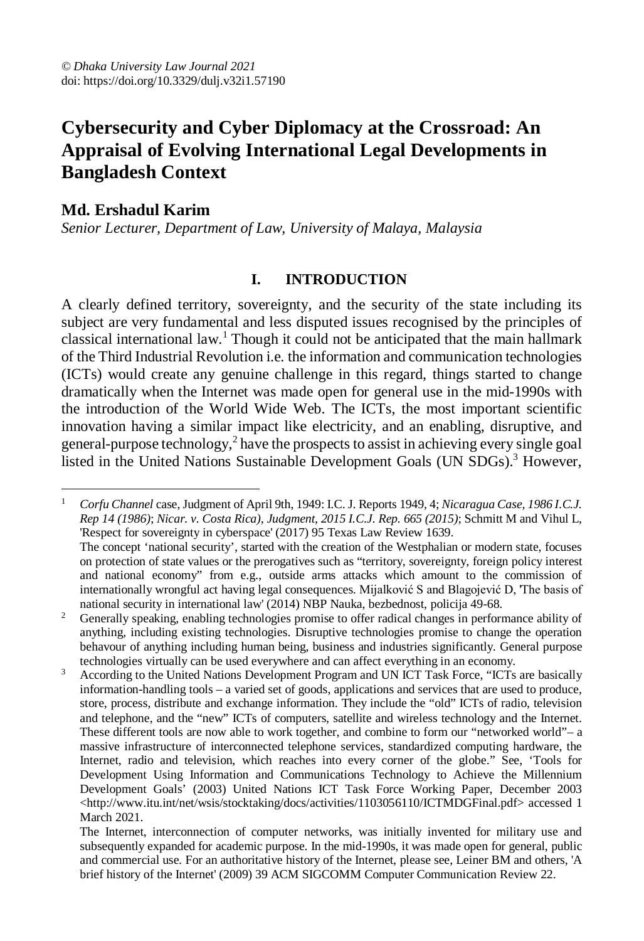# **Cybersecurity and Cyber Diplomacy at the Crossroad: An Appraisal of Evolving International Legal Developments in Bangladesh Context**

# **Md. Ershadul Karim**

*Senior Lecturer, Department of Law, University of Malaya, Malaysia*

#### **I. INTRODUCTION**

A clearly defined territory, sovereignty, and the security of the state including its subject are very fundamental and less disputed issues recognised by the principles of classical international law.<sup>1</sup> Though it could not be anticipated that the main hallmark of the Third Industrial Revolution i.e. the information and communication technologies (ICTs) would create any genuine challenge in this regard, things started to change dramatically when the Internet was made open for general use in the mid-1990s with the introduction of the World Wide Web. The ICTs, the most important scientific innovation having a similar impact like electricity, and an enabling, disruptive, and general-purpose technology,<sup>2</sup> have the prospects to assist in achieving every single goal listed in the United Nations Sustainable Development Goals (UN SDGs).<sup>3</sup> However,

 $\overline{a}$ <sup>1</sup> *Corfu Channel* case, Judgment of April 9th, 1949: I.C. J. Reports 1949, 4; *Nicaragua Case, 1986 I.C.J. Rep 14 (1986)*; *Nicar. v. Costa Rica), Judgment, 2015 I.C.J. Rep. 665 (2015)*; Schmitt M and Vihul L, 'Respect for sovereignty in cyberspace' (2017) 95 Texas Law Review 1639. The concept 'national security', started with the creation of the Westphalian or modern state, focuses on protection of state values or the prerogatives such as "territory, sovereignty, foreign policy interest and national economy" from e.g., outside arms attacks which amount to the commission of

internationally wrongful act having legal consequences. Mijalković S and Blagojević D, 'The basis of national security in international law' (2014) NBP Nauka, bezbednost, policija 49-68. <sup>2</sup> Generally speaking, enabling technologies promise to offer radical changes in performance ability of anything, including existing technologies. Disruptive technologies promise to change the operation behavour of anything including human being, business and industries significantly. General purpose technologies virtually can be used everywhere and can affect everything in an economy.

<sup>&</sup>lt;sup>3</sup> According to the United Nations Development Program and UN ICT Task Force, "ICTs are basically information-handling tools – a varied set of goods, applications and services that are used to produce, store, process, distribute and exchange information. They include the "old" ICTs of radio, television and telephone, and the "new" ICTs of computers, satellite and wireless technology and the Internet. These different tools are now able to work together, and combine to form our "networked world"– a massive infrastructure of interconnected telephone services, standardized computing hardware, the Internet, radio and television, which reaches into every corner of the globe." See, 'Tools for Development Using Information and Communications Technology to Achieve the Millennium Development Goals' (2003) United Nations ICT Task Force Working Paper, December 2003 <http://www.itu.int/net/wsis/stocktaking/docs/activities/1103056110/ICTMDGFinal.pdf> accessed 1 March 2021.

The Internet, interconnection of computer networks, was initially invented for military use and subsequently expanded for academic purpose. In the mid-1990s, it was made open for general, public and commercial use. For an authoritative history of the Internet, please see, Leiner BM and others, 'A brief history of the Internet' (2009) 39 ACM SIGCOMM Computer Communication Review 22.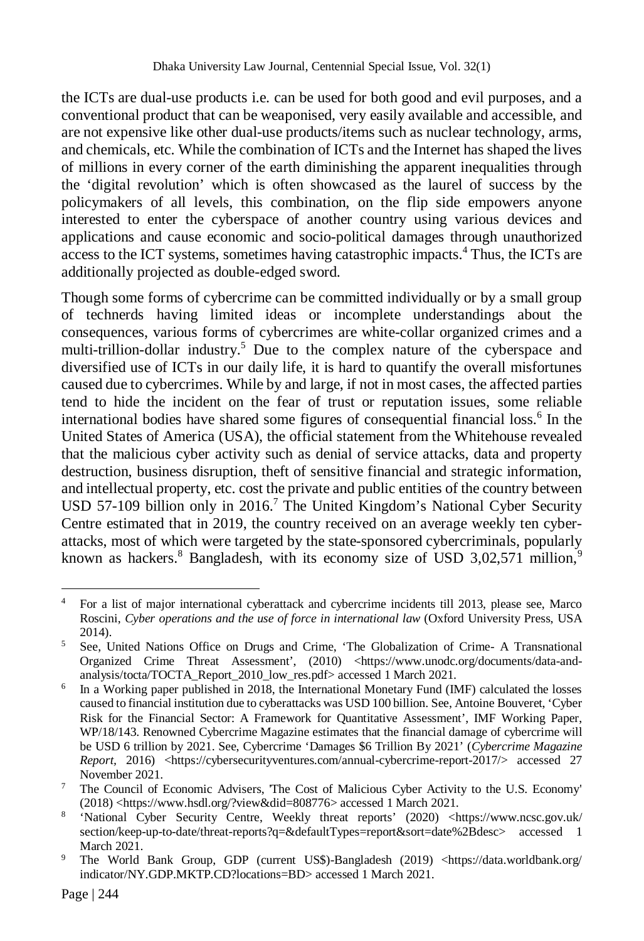the ICTs are dual-use products i.e. can be used for both good and evil purposes, and a conventional product that can be weaponised, very easily available and accessible, and are not expensive like other dual-use products/items such as nuclear technology, arms, and chemicals, etc. While the combination of ICTs and the Internet has shaped the lives of millions in every corner of the earth diminishing the apparent inequalities through the 'digital revolution' which is often showcased as the laurel of success by the policymakers of all levels, this combination, on the flip side empowers anyone interested to enter the cyberspace of another country using various devices and applications and cause economic and socio-political damages through unauthorized access to the ICT systems, sometimes having catastrophic impacts.<sup>4</sup> Thus, the ICTs are additionally projected as double-edged sword.

Though some forms of cybercrime can be committed individually or by a small group of technerds having limited ideas or incomplete understandings about the consequences, various forms of cybercrimes are white-collar organized crimes and a multi-trillion-dollar industry.<sup>5</sup> Due to the complex nature of the cyberspace and diversified use of ICTs in our daily life, it is hard to quantify the overall misfortunes caused due to cybercrimes. While by and large, if not in most cases, the affected parties tend to hide the incident on the fear of trust or reputation issues, some reliable international bodies have shared some figures of consequential financial loss.<sup>6</sup> In the United States of America (USA), the official statement from the Whitehouse revealed that the malicious cyber activity such as denial of service attacks, data and property destruction, business disruption, theft of sensitive financial and strategic information, and intellectual property, etc. cost the private and public entities of the country between USD 57-109 billion only in 2016.<sup>7</sup> The United Kingdom's National Cyber Security Centre estimated that in 2019, the country received on an average weekly ten cyberattacks, most of which were targeted by the state-sponsored cybercriminals, popularly known as hackers.<sup>8</sup> Bangladesh, with its economy size of USD 3,02,571 million,<sup>9</sup>

 $\overline{a}$ <sup>4</sup> For a list of major international cyberattack and cybercrime incidents till 2013, please see, Marco Roscini, *Cyber operations and the use of force in international law* (Oxford University Press, USA 2014).

<sup>5</sup> See, United Nations Office on Drugs and Crime, 'The Globalization of Crime- A Transnational Organized Crime Threat Assessment', (2010) <https://www.unodc.org/documents/data-andanalysis/tocta/TOCTA\_Report\_2010\_low\_res.pdf> accessed 1 March 2021.

<sup>&</sup>lt;sup>6</sup> In a Working paper published in 2018, the International Monetary Fund (IMF) calculated the losses caused to financial institution due to cyberattacks was USD 100 billion. See, Antoine Bouveret, 'Cyber Risk for the Financial Sector: A Framework for Quantitative Assessment', IMF Working Paper, WP/18/143. Renowned Cybercrime Magazine estimates that the financial damage of cybercrime will be USD 6 trillion by 2021. See, Cybercrime 'Damages \$6 Trillion By 2021' (*Cybercrime Magazine Report,* 2016) <https://cybersecurityventures.com/annual-cybercrime-report-2017/> accessed 27 November 2021.

<sup>&</sup>lt;sup>7</sup> The Council of Economic Advisers, The Cost of Malicious Cyber Activity to the U.S. Economy' (2018) <https://www.hsdl.org/?view&did=808776> accessed 1 March 2021.

<sup>&</sup>lt;sup>8</sup> 'National Cyber Security Centre, Weekly threat reports' (2020) <https://www.ncsc.gov.uk/ section/keep-up-to-date/threat-reports?q=&defaultTypes=report&sort=date%2Bdesc> accessed 1 March 2021.

<sup>9</sup> The World Bank Group, GDP (current US\$)-Bangladesh (2019) <https://data.worldbank.org/ indicator/NY.GDP.MKTP.CD?locations=BD> accessed 1 March 2021.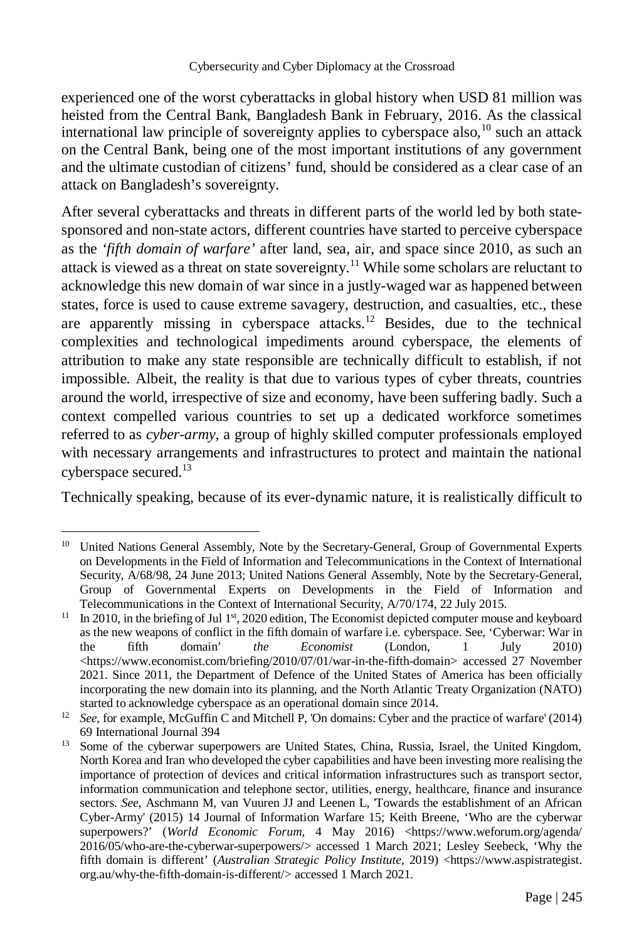experienced one of the worst cyberattacks in global history when USD 81 million was heisted from the Central Bank, Bangladesh Bank in February, 2016. As the classical international law principle of sovereignty applies to cyberspace also,  $^{10}$  such an attack on the Central Bank, being one of the most important institutions of any government and the ultimate custodian of citizens' fund, should be considered as a clear case of an attack on Bangladesh's sovereignty.

After several cyberattacks and threats in different parts of the world led by both statesponsored and non-state actors, different countries have started to perceive cyberspace as the *'fifth domain of warfare'* after land, sea, air, and space since 2010, as such an attack is viewed as a threat on state sovereignty.<sup>11</sup> While some scholars are reluctant to acknowledge this new domain of war since in a justly-waged war as happened between states, force is used to cause extreme savagery, destruction, and casualties, etc., these are apparently missing in cyberspace attacks.<sup>12</sup> Besides, due to the technical complexities and technological impediments around cyberspace, the elements of attribution to make any state responsible are technically difficult to establish, if not impossible. Albeit, the reality is that due to various types of cyber threats, countries around the world, irrespective of size and economy, have been suffering badly. Such a context compelled various countries to set up a dedicated workforce sometimes referred to as *cyber-army*, a group of highly skilled computer professionals employed with necessary arrangements and infrastructures to protect and maintain the national cyberspace secured.<sup>13</sup>

Technically speaking, because of its ever-dynamic nature, it is realistically difficult to

 $\overline{a}$ <sup>10</sup> United Nations General Assembly, Note by the Secretary-General, Group of Governmental Experts on Developments in the Field of Information and Telecommunications in the Context of International Security, A/68/98, 24 June 2013; United Nations General Assembly, Note by the Secretary-General, Group of Governmental Experts on Developments in the Field of Information and Telecommunications in the Context of International Security, A/70/174, 22 July 2015.

 $11$  In 2010, in the briefing of Jul 1st, 2020 edition, The Economist depicted computer mouse and keyboard as the new weapons of conflict in the fifth domain of warfare i.e. cyberspace. See, 'Cyberwar: War in the fifth domain' *the Economist* (London, 1 July 2010) <https://www.economist.com/briefing/2010/07/01/war-in-the-fifth-domain> accessed 27 November 2021. Since 2011, the Department of Defence of the United States of America has been officially incorporating the new domain into its planning, and the North Atlantic Treaty Organization (NATO) started to acknowledge cyberspace as an operational domain since 2014.

<sup>12</sup> *See*, for example, McGuffin C and Mitchell P, 'On domains: Cyber and the practice of warfare' (2014) 69 International Journal 394

<sup>&</sup>lt;sup>13</sup> Some of the cyberwar superpowers are United States, China, Russia, Israel, the United Kingdom, North Korea and Iran who developed the cyber capabilities and have been investing more realising the importance of protection of devices and critical information infrastructures such as transport sector, information communication and telephone sector, utilities, energy, healthcare, finance and insurance sectors. *See*, Aschmann M, van Vuuren JJ and Leenen L, Towards the establishment of an African Cyber-Army' (2015) 14 Journal of Information Warfare 15; Keith Breene, 'Who are the cyberwar superpowers?' (World Economic Forum, 4 May 2016) <https://www.weforum.org/agenda/ 2016/05/who-are-the-cyberwar-superpowers/> accessed 1 March 2021; Lesley Seebeck, 'Why the fifth domain is different' (*Australian Strategic Policy Institute*, 2019) <https://www.aspistrategist. org.au/why-the-fifth-domain-is-different/> accessed 1 March 2021.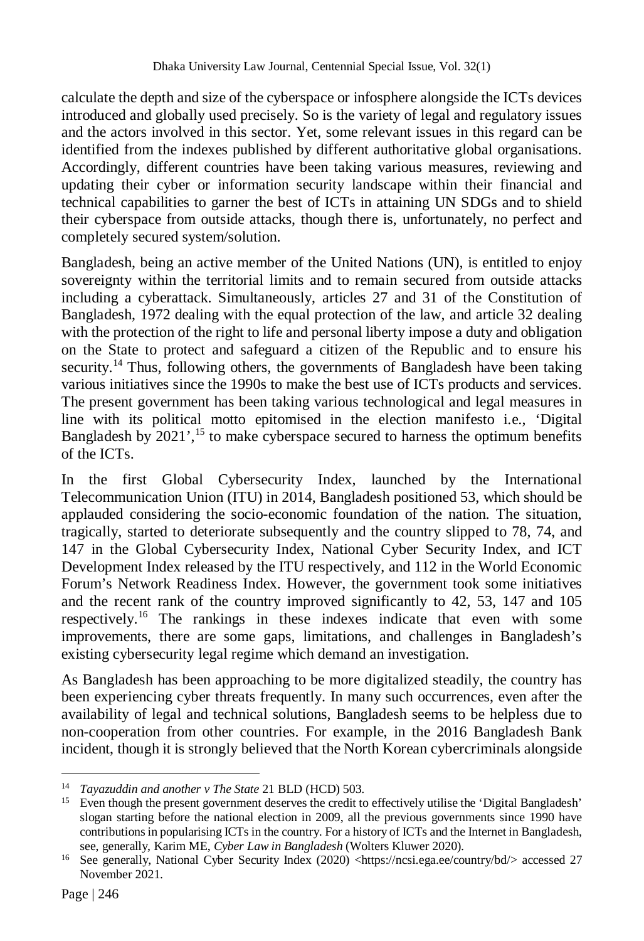calculate the depth and size of the cyberspace or infosphere alongside the ICTs devices introduced and globally used precisely. So is the variety of legal and regulatory issues and the actors involved in this sector. Yet, some relevant issues in this regard can be identified from the indexes published by different authoritative global organisations. Accordingly, different countries have been taking various measures, reviewing and updating their cyber or information security landscape within their financial and technical capabilities to garner the best of ICTs in attaining UN SDGs and to shield their cyberspace from outside attacks, though there is, unfortunately, no perfect and completely secured system/solution.

Bangladesh, being an active member of the United Nations (UN), is entitled to enjoy sovereignty within the territorial limits and to remain secured from outside attacks including a cyberattack. Simultaneously, articles 27 and 31 of the Constitution of Bangladesh, 1972 dealing with the equal protection of the law, and article 32 dealing with the protection of the right to life and personal liberty impose a duty and obligation on the State to protect and safeguard a citizen of the Republic and to ensure his security.<sup>14</sup> Thus, following others, the governments of Bangladesh have been taking various initiatives since the 1990s to make the best use of ICTs products and services. The present government has been taking various technological and legal measures in line with its political motto epitomised in the election manifesto i.e., 'Digital Bangladesh by  $2021'$ ,<sup>15</sup> to make cyberspace secured to harness the optimum benefits of the ICTs.

In the first Global Cybersecurity Index, launched by the International Telecommunication Union (ITU) in 2014, Bangladesh positioned 53, which should be applauded considering the socio-economic foundation of the nation. The situation, tragically, started to deteriorate subsequently and the country slipped to 78, 74, and 147 in the Global Cybersecurity Index, National Cyber Security Index, and ICT Development Index released by the ITU respectively, and 112 in the World Economic Forum's Network Readiness Index. However, the government took some initiatives and the recent rank of the country improved significantly to 42, 53, 147 and 105 respectively.<sup>16</sup> The rankings in these indexes indicate that even with some improvements, there are some gaps, limitations, and challenges in Bangladesh's existing cybersecurity legal regime which demand an investigation.

As Bangladesh has been approaching to be more digitalized steadily, the country has been experiencing cyber threats frequently. In many such occurrences, even after the availability of legal and technical solutions, Bangladesh seems to be helpless due to non-cooperation from other countries. For example, in the 2016 Bangladesh Bank incident, though it is strongly believed that the North Korean cybercriminals alongside

 $14<sup>°</sup>$ <sup>14</sup> *Tayazuddin and another v The State* 21 BLD (HCD) 503.

<sup>&</sup>lt;sup>15</sup> Even though the present government deserves the credit to effectively utilise the 'Digital Bangladesh' slogan starting before the national election in 2009, all the previous governments since 1990 have contributions in popularising ICTs in the country. For a history of ICTs and the Internet in Bangladesh, see, generally, Karim ME, *Cyber Law in Bangladesh* (Wolters Kluwer 2020).

<sup>16</sup> See generally, National Cyber Security Index (2020) <https://ncsi.ega.ee/country/bd/> accessed 27 November 2021.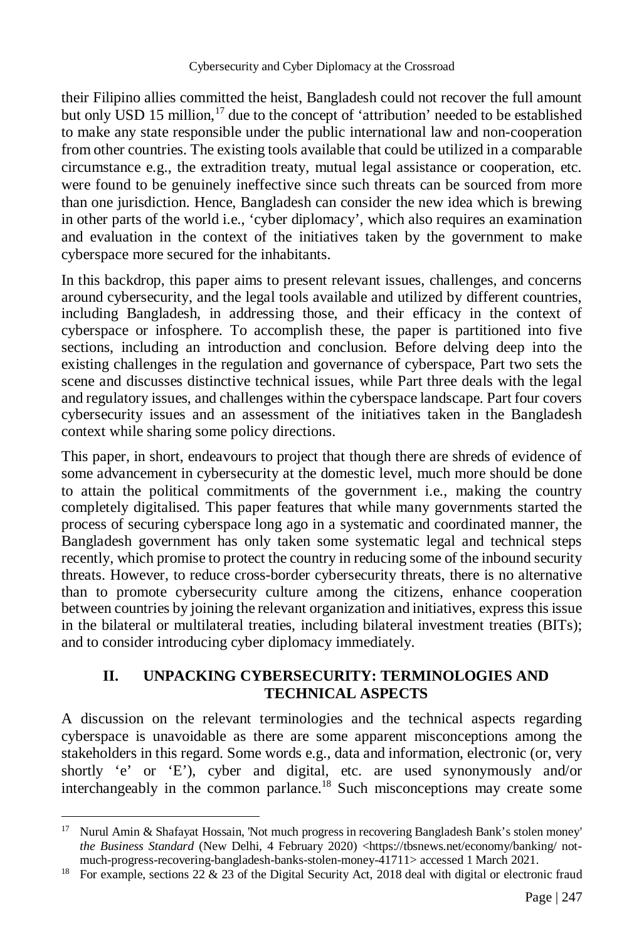their Filipino allies committed the heist, Bangladesh could not recover the full amount but only USD 15 million,  $17$  due to the concept of 'attribution' needed to be established to make any state responsible under the public international law and non-cooperation from other countries. The existing tools available that could be utilized in a comparable circumstance e.g., the extradition treaty, mutual legal assistance or cooperation, etc. were found to be genuinely ineffective since such threats can be sourced from more than one jurisdiction. Hence, Bangladesh can consider the new idea which is brewing in other parts of the world i.e., 'cyber diplomacy', which also requires an examination and evaluation in the context of the initiatives taken by the government to make cyberspace more secured for the inhabitants.

In this backdrop, this paper aims to present relevant issues, challenges, and concerns around cybersecurity, and the legal tools available and utilized by different countries, including Bangladesh, in addressing those, and their efficacy in the context of cyberspace or infosphere. To accomplish these, the paper is partitioned into five sections, including an introduction and conclusion. Before delving deep into the existing challenges in the regulation and governance of cyberspace, Part two sets the scene and discusses distinctive technical issues, while Part three deals with the legal and regulatory issues, and challenges within the cyberspace landscape. Part four covers cybersecurity issues and an assessment of the initiatives taken in the Bangladesh context while sharing some policy directions.

This paper, in short, endeavours to project that though there are shreds of evidence of some advancement in cybersecurity at the domestic level, much more should be done to attain the political commitments of the government i.e., making the country completely digitalised. This paper features that while many governments started the process of securing cyberspace long ago in a systematic and coordinated manner, the Bangladesh government has only taken some systematic legal and technical steps recently, which promise to protect the country in reducing some of the inbound security threats. However, to reduce cross-border cybersecurity threats, there is no alternative than to promote cybersecurity culture among the citizens, enhance cooperation between countries by joining the relevant organization and initiatives, express this issue in the bilateral or multilateral treaties, including bilateral investment treaties (BITs); and to consider introducing cyber diplomacy immediately.

## **II. UNPACKING CYBERSECURITY: TERMINOLOGIES AND TECHNICAL ASPECTS**

A discussion on the relevant terminologies and the technical aspects regarding cyberspace is unavoidable as there are some apparent misconceptions among the stakeholders in this regard. Some words e.g., data and information, electronic (or, very shortly 'e' or 'E'), cyber and digital, etc. are used synonymously and/or interchangeably in the common parlance.<sup>18</sup> Such misconceptions may create some

l

<sup>&</sup>lt;sup>17</sup> Nurul Amin & Shafayat Hossain, 'Not much progress in recovering Bangladesh Bank's stolen money' the Business Standard (New Delhi, 4 February 2020) <https://tbsnews.net/economy/banking/ notmuch-progress-recovering-bangladesh-banks-stolen-money-41711> accessed 1 March 2021.

<sup>&</sup>lt;sup>18</sup> For example, sections 22 & 23 of the Digital Security Act, 2018 deal with digital or electronic fraud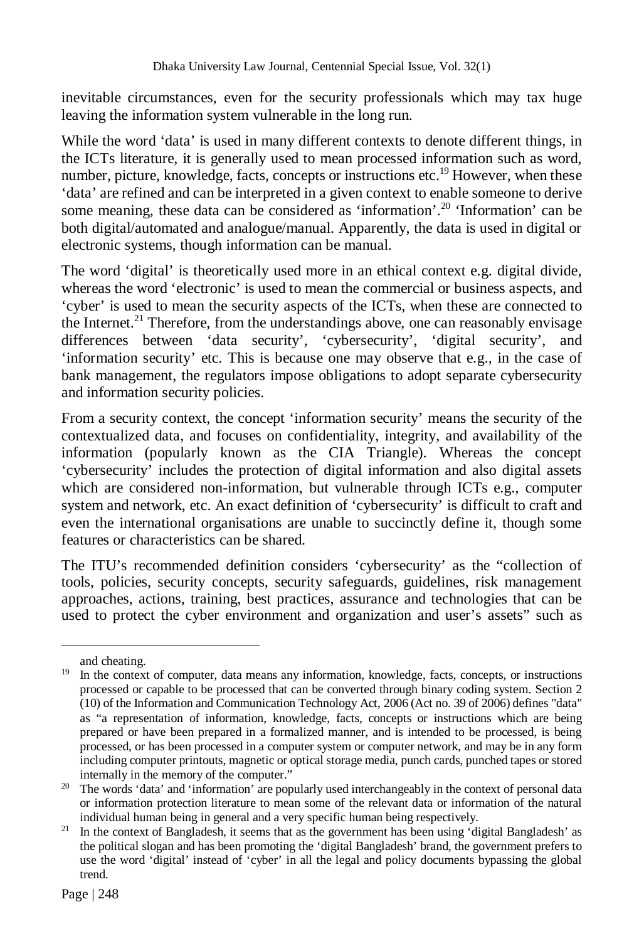inevitable circumstances, even for the security professionals which may tax huge leaving the information system vulnerable in the long run.

While the word 'data' is used in many different contexts to denote different things, in the ICTs literature, it is generally used to mean processed information such as word, number, picture, knowledge, facts, concepts or instructions etc.<sup>19</sup> However, when these 'data' are refined and can be interpreted in a given context to enable someone to derive some meaning, these data can be considered as 'information'.<sup>20</sup> 'Information' can be both digital/automated and analogue/manual. Apparently, the data is used in digital or electronic systems, though information can be manual.

The word 'digital' is theoretically used more in an ethical context e.g. digital divide, whereas the word 'electronic' is used to mean the commercial or business aspects, and 'cyber' is used to mean the security aspects of the ICTs, when these are connected to the Internet.<sup>21</sup> Therefore, from the understandings above, one can reasonably envisage differences between 'data security', 'cybersecurity', 'digital security', and 'information security' etc. This is because one may observe that e.g., in the case of bank management, the regulators impose obligations to adopt separate cybersecurity and information security policies.

From a security context, the concept 'information security' means the security of the contextualized data, and focuses on confidentiality, integrity, and availability of the information (popularly known as the CIA Triangle). Whereas the concept 'cybersecurity' includes the protection of digital information and also digital assets which are considered non-information, but vulnerable through ICTs e.g., computer system and network, etc. An exact definition of 'cybersecurity' is difficult to craft and even the international organisations are unable to succinctly define it, though some features or characteristics can be shared.

The ITU's recommended definition considers 'cybersecurity' as the "collection of tools, policies, security concepts, security safeguards, guidelines, risk management approaches, actions, training, best practices, assurance and technologies that can be used to protect the cyber environment and organization and user's assets" such as

and cheating.

<sup>&</sup>lt;sup>19</sup> In the context of computer, data means any information, knowledge, facts, concepts, or instructions processed or capable to be processed that can be converted through binary coding system. Section 2 (10) of the Information and Communication Technology Act, 2006 (Act no. 39 of 2006) defines "data" as "a representation of information, knowledge, facts, concepts or instructions which are being prepared or have been prepared in a formalized manner, and is intended to be processed, is being processed, or has been processed in a computer system or computer network, and may be in any form including computer printouts, magnetic or optical storage media, punch cards, punched tapes or stored internally in the memory of the computer."

<sup>&</sup>lt;sup>20</sup> The words 'data' and 'information' are popularly used interchangeably in the context of personal data or information protection literature to mean some of the relevant data or information of the natural individual human being in general and a very specific human being respectively.

 $21$  In the context of Bangladesh, it seems that as the government has been using 'digital Bangladesh' as the political slogan and has been promoting the 'digital Bangladesh' brand, the government prefers to use the word 'digital' instead of 'cyber' in all the legal and policy documents bypassing the global trend.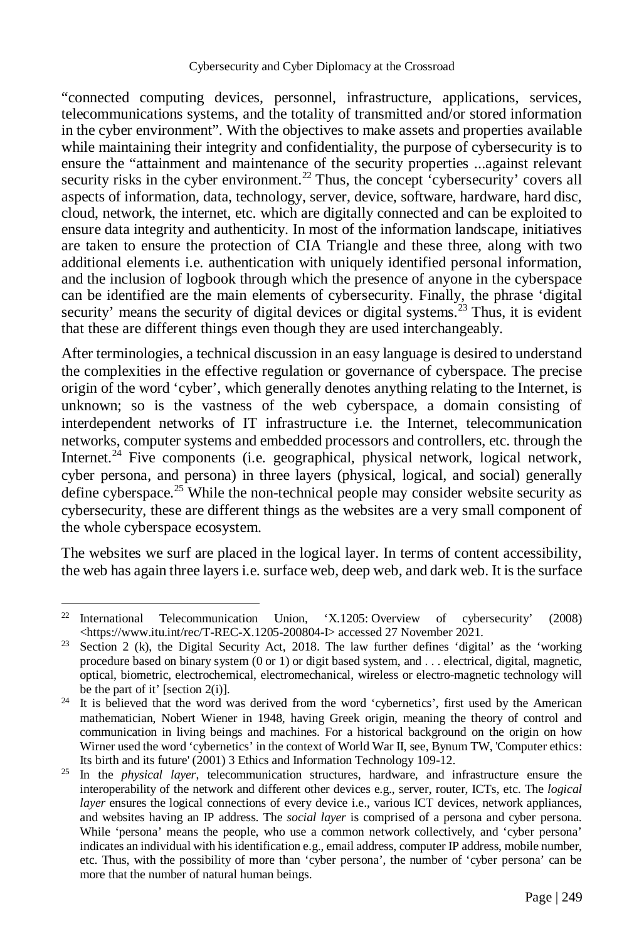"connected computing devices, personnel, infrastructure, applications, services, telecommunications systems, and the totality of transmitted and/or stored information in the cyber environment". With the objectives to make assets and properties available while maintaining their integrity and confidentiality, the purpose of cybersecurity is to ensure the "attainment and maintenance of the security properties ...against relevant security risks in the cyber environment.<sup>22</sup> Thus, the concept  $\cdot$ cybersecurity' covers all aspects of information, data, technology, server, device, software, hardware, hard disc, cloud, network, the internet, etc. which are digitally connected and can be exploited to ensure data integrity and authenticity. In most of the information landscape, initiatives are taken to ensure the protection of CIA Triangle and these three, along with two additional elements i.e. authentication with uniquely identified personal information, and the inclusion of logbook through which the presence of anyone in the cyberspace can be identified are the main elements of cybersecurity. Finally, the phrase 'digital security' means the security of digital devices or digital systems.<sup>23</sup> Thus, it is evident that these are different things even though they are used interchangeably.

After terminologies, a technical discussion in an easy language is desired to understand the complexities in the effective regulation or governance of cyberspace. The precise origin of the word 'cyber', which generally denotes anything relating to the Internet, is unknown; so is the vastness of the web cyberspace, a domain consisting of interdependent networks of IT infrastructure i.e. the Internet, telecommunication networks, computer systems and embedded processors and controllers, etc. through the Internet.<sup>24</sup> Five components (i.e. geographical, physical network, logical network, cyber persona, and persona) in three layers (physical, logical, and social) generally define cyberspace.<sup>25</sup> While the non-technical people may consider website security as cybersecurity, these are different things as the websites are a very small component of the whole cyberspace ecosystem.

The websites we surf are placed in the logical layer. In terms of content accessibility, the web has again three layers i.e. surface web, deep web, and dark web. It is the surface

<sup>&</sup>lt;sup>22</sup> International Telecommunication Union, 'X.1205: Overview of cybersecurity' (2008) <https://www.itu.int/rec/T-REC-X.1205-200804-I> accessed 27 November 2021.

<sup>&</sup>lt;sup>23</sup> Section 2 (k), the Digital Security Act, 2018. The law further defines 'digital' as the 'working procedure based on binary system (0 or 1) or digit based system, and . . . electrical, digital, magnetic, optical, biometric, electrochemical, electromechanical, wireless or electro-magnetic technology will be the part of it' [section 2(i)].

<sup>&</sup>lt;sup>24</sup> It is believed that the word was derived from the word 'cybernetics', first used by the American mathematician, Nobert Wiener in 1948, having Greek origin, meaning the theory of control and communication in living beings and machines. For a historical background on the origin on how Wirner used the word 'cybernetics' in the context of World War II, see, Bynum TW, 'Computer ethics: Its birth and its future' (2001) 3 Ethics and Information Technology 109-12.

<sup>25</sup> In the *physical layer*, telecommunication structures, hardware, and infrastructure ensure the interoperability of the network and different other devices e.g., server, router, ICTs, etc. The *logical layer* ensures the logical connections of every device i.e., various ICT devices, network appliances, and websites having an IP address. The *social layer* is comprised of a persona and cyber persona. While 'persona' means the people, who use a common network collectively, and 'cyber persona' indicates an individual with his identification e.g., email address, computer IP address, mobile number, etc. Thus, with the possibility of more than 'cyber persona', the number of 'cyber persona' can be more that the number of natural human beings.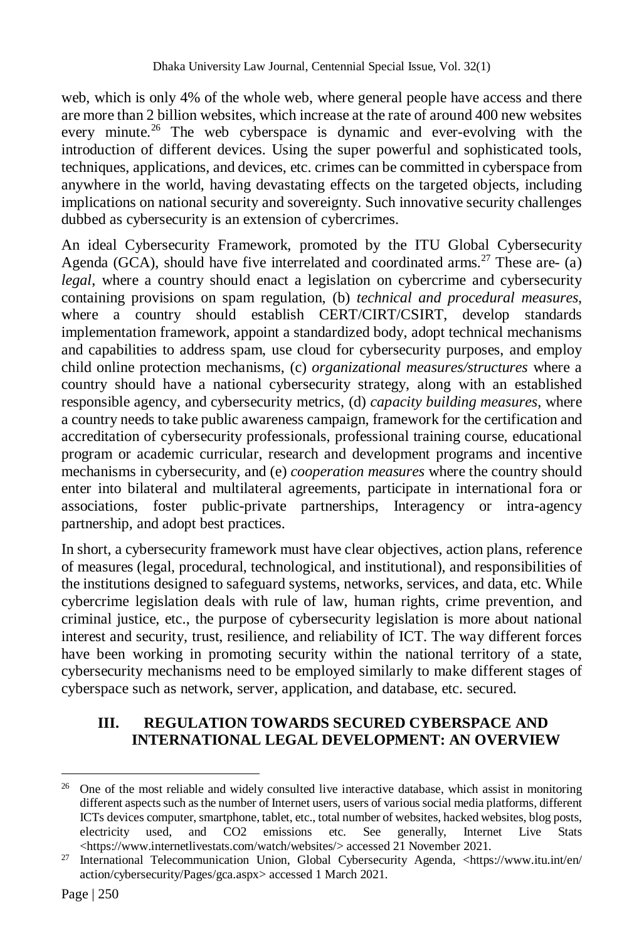web, which is only 4% of the whole web, where general people have access and there are more than 2 billion websites, which increase at the rate of around 400 new websites every minute.<sup>26</sup> The web cyberspace is dynamic and ever-evolving with the introduction of different devices. Using the super powerful and sophisticated tools, techniques, applications, and devices, etc. crimes can be committed in cyberspace from anywhere in the world, having devastating effects on the targeted objects, including implications on national security and sovereignty. Such innovative security challenges dubbed as cybersecurity is an extension of cybercrimes.

An ideal Cybersecurity Framework, promoted by the ITU Global Cybersecurity Agenda (GCA), should have five interrelated and coordinated arms.<sup>27</sup> These are- (a) *legal*, where a country should enact a legislation on cybercrime and cybersecurity containing provisions on spam regulation, (b) *technical and procedural measures*, where a country should establish CERT/CIRT/CSIRT, develop standards implementation framework, appoint a standardized body, adopt technical mechanisms and capabilities to address spam, use cloud for cybersecurity purposes, and employ child online protection mechanisms, (c) *organizational measures/structures* where a country should have a national cybersecurity strategy, along with an established responsible agency, and cybersecurity metrics, (d) *capacity building measures*, where a country needs to take public awareness campaign, framework for the certification and accreditation of cybersecurity professionals, professional training course, educational program or academic curricular, research and development programs and incentive mechanisms in cybersecurity, and (e) *cooperation measures* where the country should enter into bilateral and multilateral agreements, participate in international fora or associations, foster public-private partnerships, Interagency or intra-agency partnership, and adopt best practices.

In short, a cybersecurity framework must have clear objectives, action plans, reference of measures (legal, procedural, technological, and institutional), and responsibilities of the institutions designed to safeguard systems, networks, services, and data, etc. While cybercrime legislation deals with rule of law, human rights, crime prevention, and criminal justice, etc., the purpose of cybersecurity legislation is more about national interest and security, trust, resilience, and reliability of ICT. The way different forces have been working in promoting security within the national territory of a state, cybersecurity mechanisms need to be employed similarly to make different stages of cyberspace such as network, server, application, and database, etc. secured.

## **III. REGULATION TOWARDS SECURED CYBERSPACE AND INTERNATIONAL LEGAL DEVELOPMENT: AN OVERVIEW**

 $26$ <sup>26</sup> One of the most reliable and widely consulted live interactive database, which assist in monitoring different aspects such as the number of Internet users, users of various social media platforms, different ICTs devices computer, smartphone, tablet, etc., total number of websites, hacked websites, blog posts, electricity used, and CO2 emissions etc. See generally, Internet Live Stats electricity used, and CO2 emissions etc. See generally, Internet Live Stats <https://www.internetlivestats.com/watch/websites/> accessed 21 November 2021.

<sup>27</sup> International Telecommunication Union, Global Cybersecurity Agenda, <https://www.itu.int/en/ action/cybersecurity/Pages/gca.aspx> accessed 1 March 2021.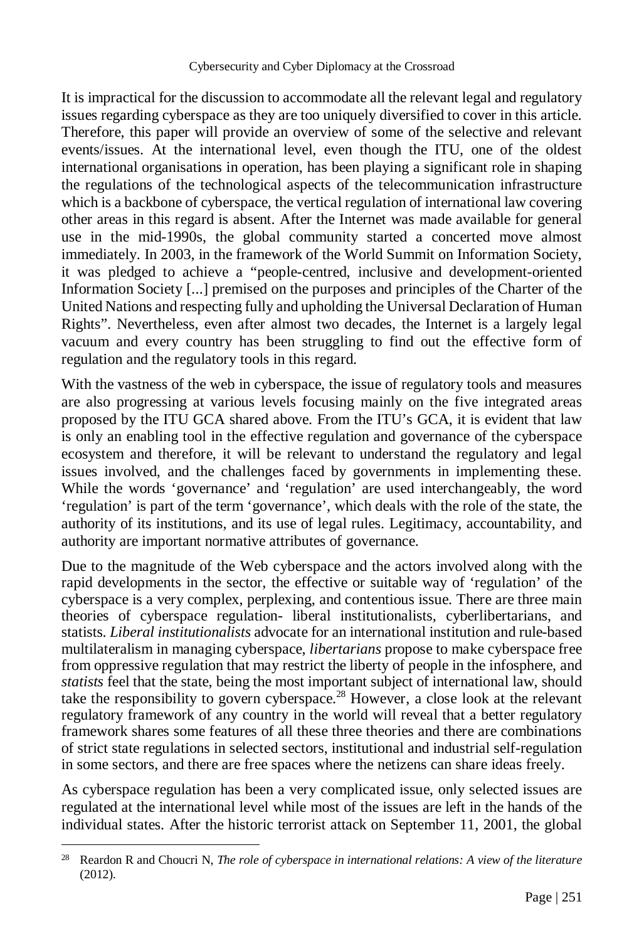It is impractical for the discussion to accommodate all the relevant legal and regulatory issues regarding cyberspace as they are too uniquely diversified to cover in this article. Therefore, this paper will provide an overview of some of the selective and relevant events/issues. At the international level, even though the ITU, one of the oldest international organisations in operation, has been playing a significant role in shaping the regulations of the technological aspects of the telecommunication infrastructure which is a backbone of cyberspace, the vertical regulation of international law covering other areas in this regard is absent. After the Internet was made available for general use in the mid-1990s, the global community started a concerted move almost immediately. In 2003, in the framework of the World Summit on Information Society, it was pledged to achieve a "people-centred, inclusive and development-oriented Information Society [...] premised on the purposes and principles of the Charter of the United Nations and respecting fully and upholding the Universal Declaration of Human Rights". Nevertheless, even after almost two decades, the Internet is a largely legal vacuum and every country has been struggling to find out the effective form of regulation and the regulatory tools in this regard.

With the vastness of the web in cyberspace, the issue of regulatory tools and measures are also progressing at various levels focusing mainly on the five integrated areas proposed by the ITU GCA shared above. From the ITU's GCA, it is evident that law is only an enabling tool in the effective regulation and governance of the cyberspace ecosystem and therefore, it will be relevant to understand the regulatory and legal issues involved, and the challenges faced by governments in implementing these. While the words 'governance' and 'regulation' are used interchangeably, the word 'regulation' is part of the term 'governance', which deals with the role of the state, the authority of its institutions, and its use of legal rules. Legitimacy, accountability, and authority are important normative attributes of governance.

Due to the magnitude of the Web cyberspace and the actors involved along with the rapid developments in the sector, the effective or suitable way of 'regulation' of the cyberspace is a very complex, perplexing, and contentious issue. There are three main theories of cyberspace regulation- liberal institutionalists, cyberlibertarians, and statists. *Liberal institutionalists* advocate for an international institution and rule-based multilateralism in managing cyberspace, *libertarians* propose to make cyberspace free from oppressive regulation that may restrict the liberty of people in the infosphere, and *statists* feel that the state, being the most important subject of international law, should take the responsibility to govern cyberspace.<sup>28</sup> However, a close look at the relevant regulatory framework of any country in the world will reveal that a better regulatory framework shares some features of all these three theories and there are combinations of strict state regulations in selected sectors, institutional and industrial self-regulation in some sectors, and there are free spaces where the netizens can share ideas freely.

As cyberspace regulation has been a very complicated issue, only selected issues are regulated at the international level while most of the issues are left in the hands of the individual states. After the historic terrorist attack on September 11, 2001, the global

<sup>28</sup> Reardon R and Choucri N, *The role of cyberspace in international relations: A view of the literature* (2012).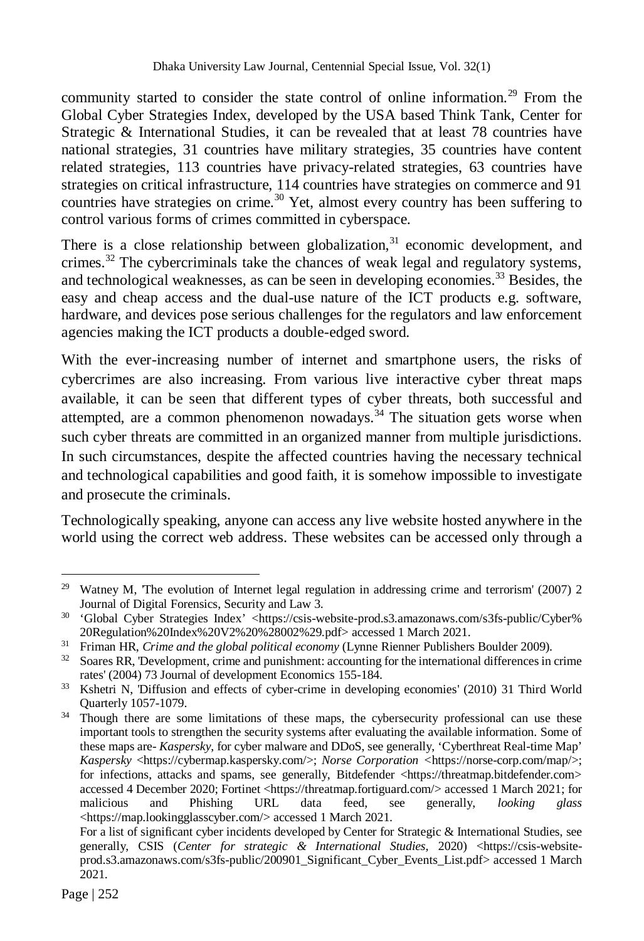community started to consider the state control of online information.<sup>29</sup> From the Global Cyber Strategies Index, developed by the USA based Think Tank, Center for Strategic & International Studies, it can be revealed that at least 78 countries have national strategies, 31 countries have military strategies, 35 countries have content related strategies, 113 countries have privacy-related strategies, 63 countries have strategies on critical infrastructure, 114 countries have strategies on commerce and 91 countries have strategies on crime.<sup>30</sup> Yet, almost every country has been suffering to control various forms of crimes committed in cyberspace.

There is a close relationship between globalization,  $31$  economic development, and crimes.<sup>32</sup> The cybercriminals take the chances of weak legal and regulatory systems, and technological weaknesses, as can be seen in developing economies.<sup>33</sup> Besides, the easy and cheap access and the dual-use nature of the ICT products e.g. software, hardware, and devices pose serious challenges for the regulators and law enforcement agencies making the ICT products a double-edged sword.

With the ever-increasing number of internet and smartphone users, the risks of cybercrimes are also increasing. From various live interactive cyber threat maps available, it can be seen that different types of cyber threats, both successful and attempted, are a common phenomenon nowadays.<sup>34</sup> The situation gets worse when such cyber threats are committed in an organized manner from multiple jurisdictions. In such circumstances, despite the affected countries having the necessary technical and technological capabilities and good faith, it is somehow impossible to investigate and prosecute the criminals.

Technologically speaking, anyone can access any live website hosted anywhere in the world using the correct web address. These websites can be accessed only through a

 $\overline{a}$ <sup>29</sup> Watney M, The evolution of Internet legal regulation in addressing crime and terrorism' (2007) 2 Journal of Digital Forensics, Security and Law 3.

<sup>&</sup>lt;sup>30</sup> 'Global Cyber Strategies Index' <https://csis-website-prod.s3.amazonaws.com/s3fs-public/Cyber% 20Regulation%20Index%20V2%20%28002%29.pdf> accessed 1 March 2021.

<sup>31</sup> Friman HR, *Crime and the global political economy* (Lynne Rienner Publishers Boulder 2009).

<sup>&</sup>lt;sup>32</sup> Soares RR, 'Development, crime and punishment: accounting for the international differences in crime rates' (2004) 73 Journal of development Economics 155-184.

<sup>33</sup> Kshetri N, 'Diffusion and effects of cyber-crime in developing economies' (2010) 31 Third World Quarterly 1057-1079.

<sup>&</sup>lt;sup>34</sup> Though there are some limitations of these maps, the cybersecurity professional can use these important tools to strengthen the security systems after evaluating the available information. Some of these maps are- *Kaspersky*, for cyber malware and DDoS, see generally, 'Cyberthreat Real-time Map' Kaspersky <https://cybermap.kaspersky.com/>; *Norse Corporation* <https://norse-corp.com/map/>; for infections, attacks and spams, see generally, Bitdefender <https://threatmap.bitdefender.com> accessed 4 December 2020; Fortinet <https://threatmap.fortiguard.com/> accessed 1 March 2021; for malicious and Phishing URL data feed, see generally, *looking glass* <https://map.lookingglasscyber.com/> accessed 1 March 2021.

For a list of significant cyber incidents developed by Center for Strategic & International Studies, see generally, CSIS (*Center for strategic & International Studies*, 2020) <https://csis-websiteprod.s3.amazonaws.com/s3fs-public/200901\_Significant\_Cyber\_Events\_List.pdf> accessed 1 March 2021.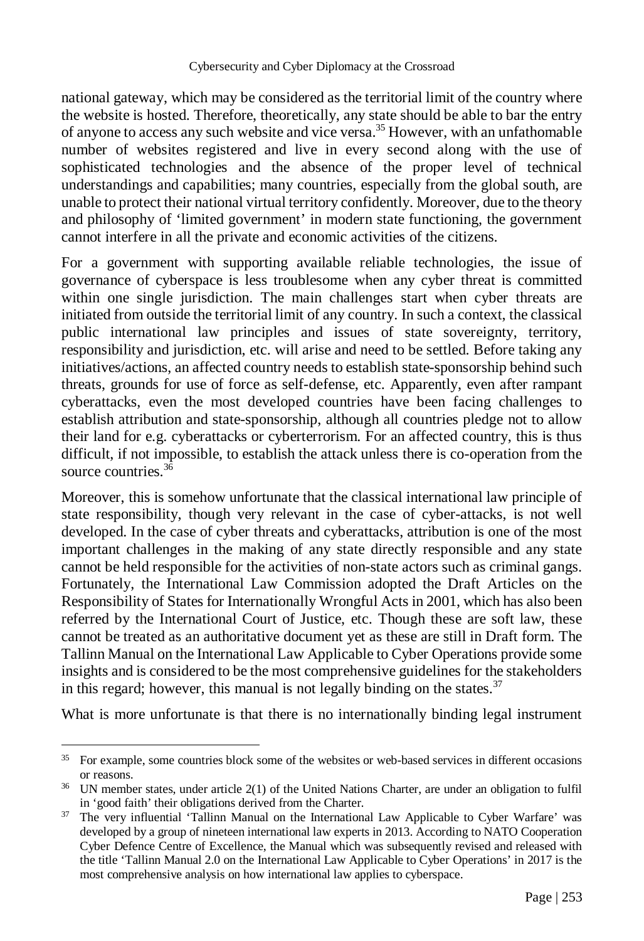national gateway, which may be considered as the territorial limit of the country where the website is hosted. Therefore, theoretically, any state should be able to bar the entry of anyone to access any such website and vice versa.<sup>35</sup> However, with an unfathomable number of websites registered and live in every second along with the use of sophisticated technologies and the absence of the proper level of technical understandings and capabilities; many countries, especially from the global south, are unable to protect their national virtual territory confidently. Moreover, due to the theory and philosophy of 'limited government' in modern state functioning, the government cannot interfere in all the private and economic activities of the citizens.

For a government with supporting available reliable technologies, the issue of governance of cyberspace is less troublesome when any cyber threat is committed within one single jurisdiction. The main challenges start when cyber threats are initiated from outside the territorial limit of any country. In such a context, the classical public international law principles and issues of state sovereignty, territory, responsibility and jurisdiction, etc. will arise and need to be settled. Before taking any initiatives/actions, an affected country needs to establish state-sponsorship behind such threats, grounds for use of force as self-defense, etc. Apparently, even after rampant cyberattacks, even the most developed countries have been facing challenges to establish attribution and state-sponsorship, although all countries pledge not to allow their land for e.g. cyberattacks or cyberterrorism. For an affected country, this is thus difficult, if not impossible, to establish the attack unless there is co-operation from the source countries.  $3\overline{6}$ 

Moreover, this is somehow unfortunate that the classical international law principle of state responsibility, though very relevant in the case of cyber-attacks, is not well developed. In the case of cyber threats and cyberattacks, attribution is one of the most important challenges in the making of any state directly responsible and any state cannot be held responsible for the activities of non-state actors such as criminal gangs. Fortunately, the International Law Commission adopted the Draft Articles on the Responsibility of States for Internationally Wrongful Acts in 2001, which has also been referred by the International Court of Justice, etc. Though these are soft law, these cannot be treated as an authoritative document yet as these are still in Draft form. The Tallinn Manual on the International Law Applicable to Cyber Operations provide some insights and is considered to be the most comprehensive guidelines for the stakeholders in this regard; however, this manual is not legally binding on the states.<sup>37</sup>

What is more unfortunate is that there is no internationally binding legal instrument

<sup>&</sup>lt;sup>35</sup> For example, some countries block some of the websites or web-based services in different occasions or reasons.

<sup>36</sup> UN member states, under article 2(1) of the United Nations Charter, are under an obligation to fulfil in 'good faith' their obligations derived from the Charter.

<sup>&</sup>lt;sup>37</sup> The very influential 'Tallinn Manual on the International Law Applicable to Cyber Warfare' was developed by a group of nineteen international law experts in 2013. According to NATO Cooperation Cyber Defence Centre of Excellence, the Manual which was subsequently revised and released with the title 'Tallinn Manual 2.0 on the International Law Applicable to Cyber Operations' in 2017 is the most comprehensive analysis on how international law applies to cyberspace.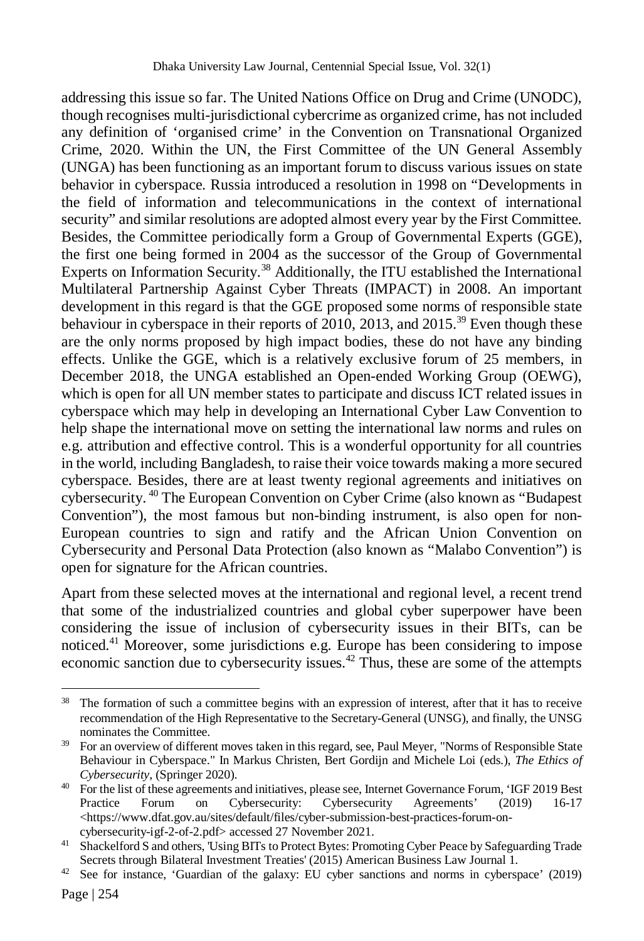addressing this issue so far. The United Nations Office on Drug and Crime (UNODC), though recognises multi-jurisdictional cybercrime as organized crime, has not included any definition of 'organised crime' in the Convention on Transnational Organized Crime, 2020. Within the UN, the First Committee of the UN General Assembly (UNGA) has been functioning as an important forum to discuss various issues on state behavior in cyberspace. Russia introduced a resolution in 1998 on "Developments in the field of information and telecommunications in the context of international security" and similar resolutions are adopted almost every year by the First Committee. Besides, the Committee periodically form a Group of Governmental Experts (GGE), the first one being formed in 2004 as the successor of the Group of Governmental Experts on Information Security.<sup>38</sup> Additionally, the ITU established the International Multilateral Partnership Against Cyber Threats (IMPACT) in 2008. An important development in this regard is that the GGE proposed some norms of responsible state behaviour in cyberspace in their reports of 2010, 2013, and 2015.<sup>39</sup> Even though these are the only norms proposed by high impact bodies, these do not have any binding effects. Unlike the GGE, which is a relatively exclusive forum of 25 members, in December 2018, the UNGA established an Open-ended Working Group (OEWG), which is open for all UN member states to participate and discuss ICT related issues in cyberspace which may help in developing an International Cyber Law Convention to help shape the international move on setting the international law norms and rules on e.g. attribution and effective control. This is a wonderful opportunity for all countries in the world, including Bangladesh, to raise their voice towards making a more secured cyberspace. Besides, there are at least twenty regional agreements and initiatives on cybersecurity. <sup>40</sup> The European Convention on Cyber Crime (also known as "Budapest Convention"), the most famous but non-binding instrument, is also open for non-European countries to sign and ratify and the African Union Convention on Cybersecurity and Personal Data Protection (also known as "Malabo Convention") is open for signature for the African countries.

Apart from these selected moves at the international and regional level, a recent trend that some of the industrialized countries and global cyber superpower have been considering the issue of inclusion of cybersecurity issues in their BITs, can be noticed. <sup>41</sup> Moreover, some jurisdictions e.g. Europe has been considering to impose economic sanction due to cybersecurity issues.<sup>42</sup> Thus, these are some of the attempts

 $\overline{a}$ <sup>38</sup> The formation of such a committee begins with an expression of interest, after that it has to receive recommendation of the High Representative to the Secretary-General (UNSG), and finally, the UNSG nominates the Committee.

<sup>&</sup>lt;sup>39</sup> For an overview of different moves taken in this regard, see, Paul Meyer, "Norms of Responsible State Behaviour in Cyberspace." In Markus Christen, Bert Gordijn and Michele Loi (eds.), *The Ethics of Cybersecurity*, (Springer 2020).

<sup>40</sup> For the list of these agreements and initiatives, please see, Internet Governance Forum, 'IGF 2019 Best Practice Forum on Cybersecurity: Cybersecurity Agreements' (2019) 16-17 <https://www.dfat.gov.au/sites/default/files/cyber-submission-best-practices-forum-oncybersecurity-igf-2-of-2.pdf> accessed 27 November 2021.

<sup>41</sup> Shackelford S and others, 'Using BITs to Protect Bytes: Promoting Cyber Peace by Safeguarding Trade Secrets through Bilateral Investment Treaties' (2015) American Business Law Journal 1.

<sup>42</sup> See for instance, 'Guardian of the galaxy: EU cyber sanctions and norms in cyberspace' (2019)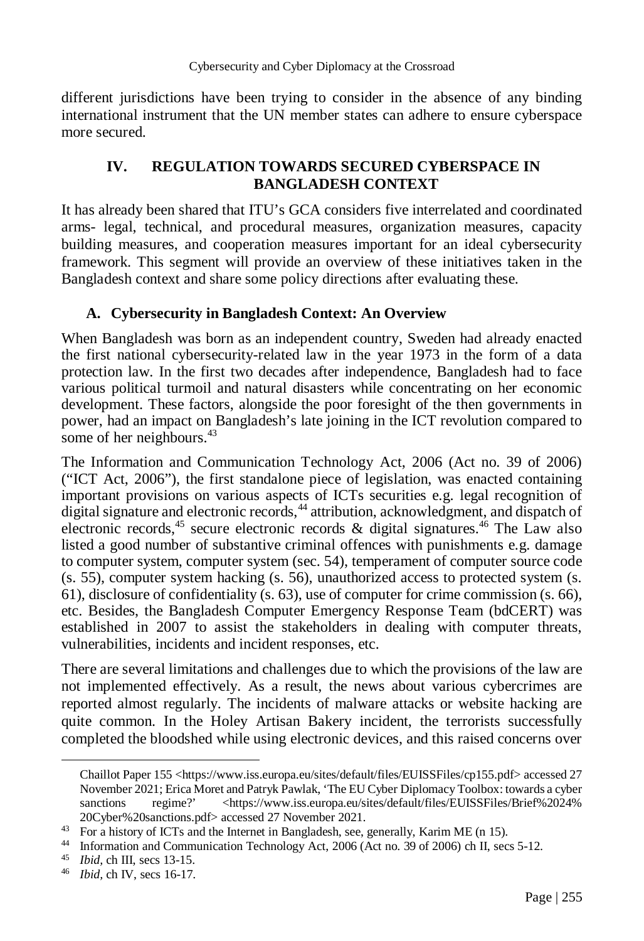different jurisdictions have been trying to consider in the absence of any binding international instrument that the UN member states can adhere to ensure cyberspace more secured.

#### **IV. REGULATION TOWARDS SECURED CYBERSPACE IN BANGLADESH CONTEXT**

It has already been shared that ITU's GCA considers five interrelated and coordinated arms- legal, technical, and procedural measures, organization measures, capacity building measures, and cooperation measures important for an ideal cybersecurity framework. This segment will provide an overview of these initiatives taken in the Bangladesh context and share some policy directions after evaluating these.

#### **A. Cybersecurity in Bangladesh Context: An Overview**

When Bangladesh was born as an independent country, Sweden had already enacted the first national cybersecurity-related law in the year 1973 in the form of a data protection law. In the first two decades after independence, Bangladesh had to face various political turmoil and natural disasters while concentrating on her economic development. These factors, alongside the poor foresight of the then governments in power, had an impact on Bangladesh's late joining in the ICT revolution compared to some of her neighbours.<sup>43</sup>

The Information and Communication Technology Act, 2006 (Act no. 39 of 2006) ("ICT Act, 2006"), the first standalone piece of legislation, was enacted containing important provisions on various aspects of ICTs securities e.g. legal recognition of digital signature and electronic records,<sup>44</sup> attribution, acknowledgment, and dispatch of electronic records,  $4^5$  secure electronic records & digital signatures.  $4^6$  The Law also listed a good number of substantive criminal offences with punishments e.g. damage to computer system, computer system (sec. 54), temperament of computer source code (s. 55), computer system hacking (s. 56), unauthorized access to protected system (s. 61), disclosure of confidentiality (s. 63), use of computer for crime commission (s. 66), etc. Besides, the Bangladesh Computer Emergency Response Team (bdCERT) was established in 2007 to assist the stakeholders in dealing with computer threats, vulnerabilities, incidents and incident responses, etc.

There are several limitations and challenges due to which the provisions of the law are not implemented effectively. As a result, the news about various cybercrimes are reported almost regularly. The incidents of malware attacks or website hacking are quite common. In the Holey Artisan Bakery incident, the terrorists successfully completed the bloodshed while using electronic devices, and this raised concerns over

Chaillot Paper 155 <https://www.iss.europa.eu/sites/default/files/EUISSFiles/cp155.pdf> accessed 27 November 2021; Erica Moret and Patryk Pawlak, 'The EU Cyber Diplomacy Toolbox: towards a cyber sanctions regime?' <https://www.iss.europa.eu/sites/default/files/EUISSFiles/Brief%2024% 20Cyber%20sanctions.pdf> accessed 27 November 2021.

<sup>&</sup>lt;sup>43</sup> For a history of ICTs and the Internet in Bangladesh, see, generally, Karim ME (n 15).

<sup>44</sup> Information and Communication Technology Act, 2006 (Act no. 39 of 2006) ch II, secs 5-12.

<sup>45</sup> *Ibid,* ch III, secs 13-15.

<sup>46</sup> *Ibid,* ch IV, secs 16-17.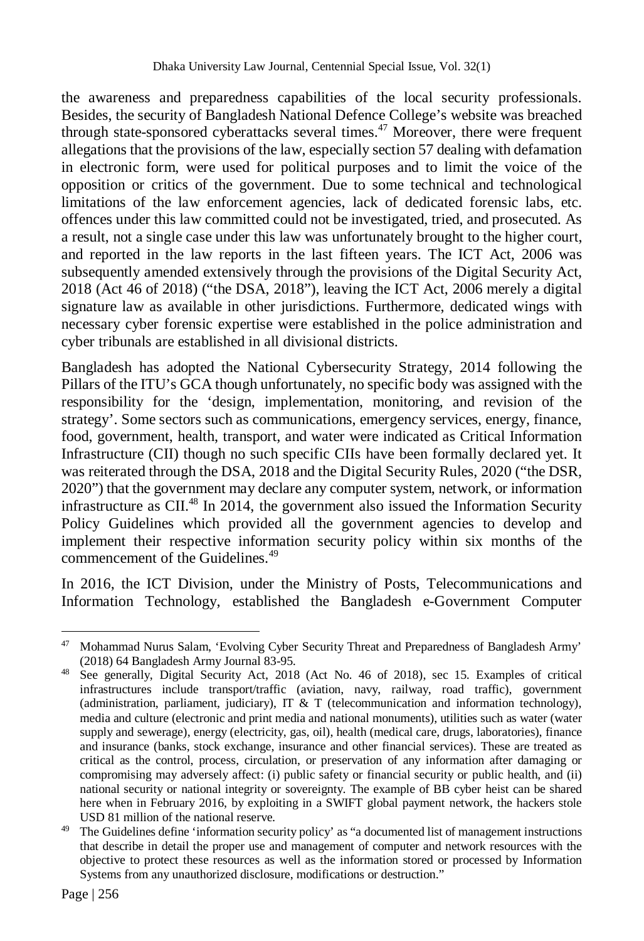the awareness and preparedness capabilities of the local security professionals. Besides, the security of Bangladesh National Defence College's website was breached through state-sponsored cyberattacks several times.<sup>47</sup> Moreover, there were frequent allegations that the provisions of the law, especially section 57 dealing with defamation in electronic form, were used for political purposes and to limit the voice of the opposition or critics of the government. Due to some technical and technological limitations of the law enforcement agencies, lack of dedicated forensic labs, etc. offences under this law committed could not be investigated, tried, and prosecuted. As a result, not a single case under this law was unfortunately brought to the higher court, and reported in the law reports in the last fifteen years. The ICT Act, 2006 was subsequently amended extensively through the provisions of the Digital Security Act, 2018 (Act 46 of 2018) ("the DSA, 2018"), leaving the ICT Act, 2006 merely a digital signature law as available in other jurisdictions. Furthermore, dedicated wings with necessary cyber forensic expertise were established in the police administration and cyber tribunals are established in all divisional districts.

Bangladesh has adopted the National Cybersecurity Strategy, 2014 following the Pillars of the ITU's GCA though unfortunately, no specific body was assigned with the responsibility for the 'design, implementation, monitoring, and revision of the strategy'. Some sectors such as communications, emergency services, energy, finance, food, government, health, transport, and water were indicated as Critical Information Infrastructure (CII) though no such specific CIIs have been formally declared yet. It was reiterated through the DSA, 2018 and the Digital Security Rules, 2020 ("the DSR, 2020") that the government may declare any computer system, network, or information infrastructure as CII. $48$  In 2014, the government also issued the Information Security Policy Guidelines which provided all the government agencies to develop and implement their respective information security policy within six months of the commencement of the Guidelines.<sup>49</sup>

In 2016, the ICT Division, under the Ministry of Posts, Telecommunications and Information Technology, established the Bangladesh e-Government Computer

<sup>47</sup> Mohammad Nurus Salam, 'Evolving Cyber Security Threat and Preparedness of Bangladesh Army' (2018) 64 Bangladesh Army Journal 83-95.

<sup>48</sup> See generally, Digital Security Act, 2018 (Act No. 46 of 2018), sec 15. Examples of critical infrastructures include transport/traffic (aviation, navy, railway, road traffic), government (administration, parliament, judiciary), IT & T (telecommunication and information technology), media and culture (electronic and print media and national monuments), utilities such as water (water supply and sewerage), energy (electricity, gas, oil), health (medical care, drugs, laboratories), finance and insurance (banks, stock exchange, insurance and other financial services). These are treated as critical as the control, process, circulation, or preservation of any information after damaging or compromising may adversely affect: (i) public safety or financial security or public health, and (ii) national security or national integrity or sovereignty. The example of BB cyber heist can be shared here when in February 2016, by exploiting in a SWIFT global payment network, the hackers stole USD 81 million of the national reserve.

<sup>&</sup>lt;sup>49</sup> The Guidelines define 'information security policy' as "a documented list of management instructions that describe in detail the proper use and management of computer and network resources with the objective to protect these resources as well as the information stored or processed by Information Systems from any unauthorized disclosure, modifications or destruction."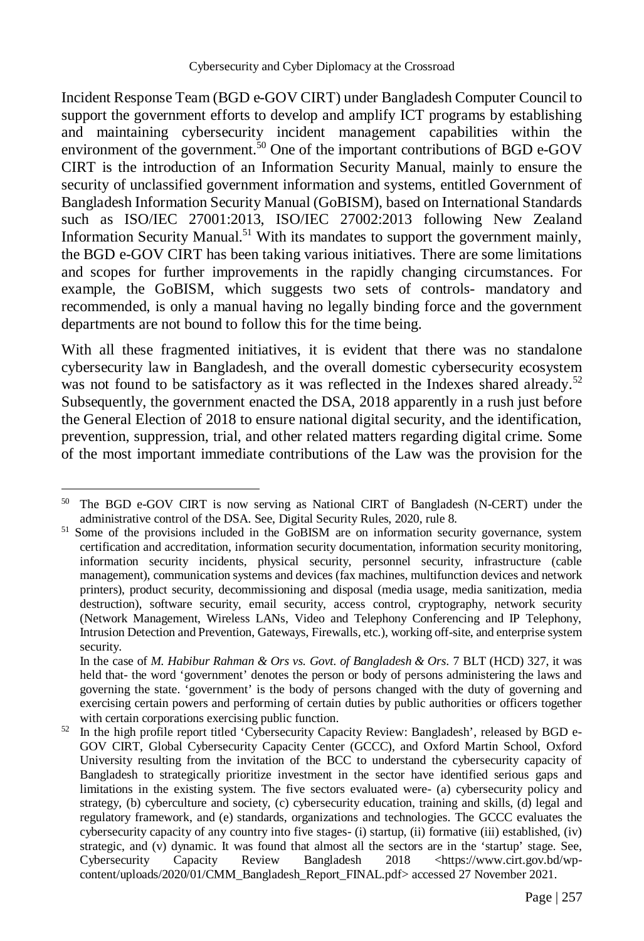Incident Response Team (BGD e-GOV CIRT) under Bangladesh Computer Council to support the government efforts to develop and amplify ICT programs by establishing and maintaining cybersecurity incident management capabilities within the environment of the government.<sup>50</sup> One of the important contributions of BGD e-GOV CIRT is the introduction of an Information Security Manual, mainly to ensure the security of unclassified government information and systems, entitled Government of Bangladesh Information Security Manual (GoBISM), based on International Standards such as ISO/IEC 27001:2013, ISO/IEC 27002:2013 following New Zealand Information Security Manual.<sup>51</sup> With its mandates to support the government mainly, the BGD e-GOV CIRT has been taking various initiatives. There are some limitations and scopes for further improvements in the rapidly changing circumstances. For example, the GoBISM, which suggests two sets of controls- mandatory and recommended, is only a manual having no legally binding force and the government departments are not bound to follow this for the time being.

With all these fragmented initiatives, it is evident that there was no standalone cybersecurity law in Bangladesh, and the overall domestic cybersecurity ecosystem was not found to be satisfactory as it was reflected in the Indexes shared already.<sup>52</sup> Subsequently, the government enacted the DSA, 2018 apparently in a rush just before the General Election of 2018 to ensure national digital security, and the identification, prevention, suppression, trial, and other related matters regarding digital crime. Some of the most important immediate contributions of the Law was the provision for the

<sup>50</sup> The BGD e-GOV CIRT is now serving as National CIRT of Bangladesh (N-CERT) under the administrative control of the DSA. See, Digital Security Rules, 2020, rule 8.

<sup>&</sup>lt;sup>51</sup> Some of the provisions included in the GoBISM are on information security governance, system certification and accreditation, information security documentation, information security monitoring, information security incidents, physical security, personnel security, infrastructure (cable management), communication systems and devices (fax machines, multifunction devices and network printers), product security, decommissioning and disposal (media usage, media sanitization, media destruction), software security, email security, access control, cryptography, network security (Network Management, Wireless LANs, Video and Telephony Conferencing and IP Telephony, Intrusion Detection and Prevention, Gateways, Firewalls, etc.), working off-site, and enterprise system security.

In the case of *M. Habibur Rahman & Ors vs. Govt. of Bangladesh & Ors.* 7 BLT (HCD) 327, it was held that- the word 'government' denotes the person or body of persons administering the laws and governing the state. 'government' is the body of persons changed with the duty of governing and exercising certain powers and performing of certain duties by public authorities or officers together with certain corporations exercising public function.

<sup>&</sup>lt;sup>52</sup> In the high profile report titled 'Cybersecurity Capacity Review: Bangladesh', released by BGD e-GOV CIRT, Global Cybersecurity Capacity Center (GCCC), and Oxford Martin School, Oxford University resulting from the invitation of the BCC to understand the cybersecurity capacity of Bangladesh to strategically prioritize investment in the sector have identified serious gaps and limitations in the existing system. The five sectors evaluated were- (a) cybersecurity policy and strategy, (b) cyberculture and society, (c) cybersecurity education, training and skills, (d) legal and regulatory framework, and (e) standards, organizations and technologies. The GCCC evaluates the cybersecurity capacity of any country into five stages- (i) startup, (ii) formative (iii) established, (iv) strategic, and (v) dynamic. It was found that almost all the sectors are in the 'startup' stage. See, Cybersecurity Capacity Review Bangladesh 2018 <https://www.cirt.gov.bd/wpcontent/uploads/2020/01/CMM\_Bangladesh\_Report\_FINAL.pdf> accessed 27 November 2021.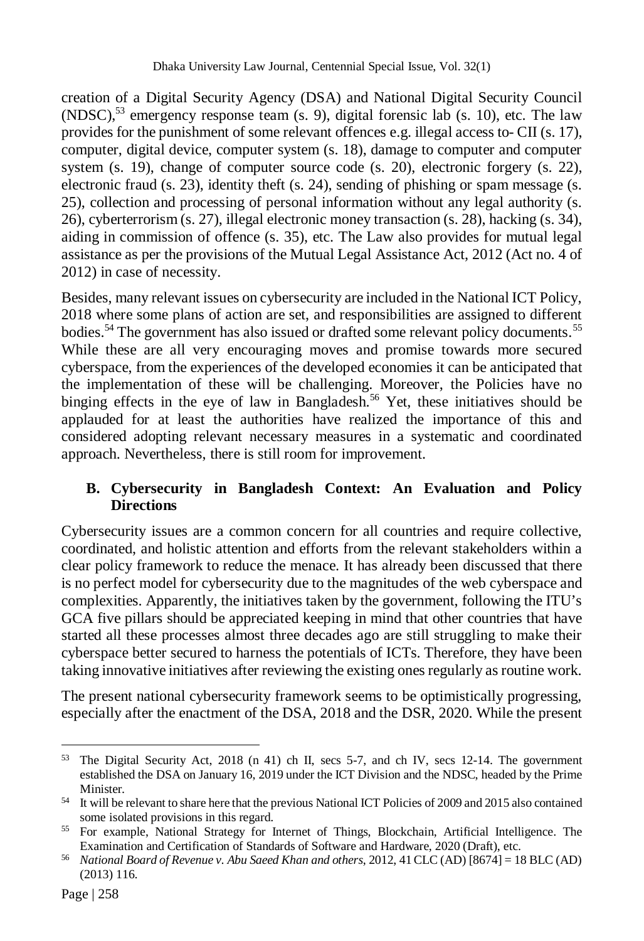creation of a Digital Security Agency (DSA) and National Digital Security Council (NDSC),<sup>53</sup> emergency response team (s. 9), digital forensic lab (s. 10), etc. The law provides for the punishment of some relevant offences e.g. illegal access to- CII (s. 17), computer, digital device, computer system (s. 18), damage to computer and computer system (s. 19), change of computer source code (s. 20), electronic forgery (s. 22), electronic fraud (s. 23), identity theft (s. 24), sending of phishing or spam message (s. 25), collection and processing of personal information without any legal authority (s. 26), cyberterrorism (s. 27), illegal electronic money transaction (s. 28), hacking (s. 34), aiding in commission of offence (s. 35), etc. The Law also provides for mutual legal assistance as per the provisions of the Mutual Legal Assistance Act, 2012 (Act no. 4 of 2012) in case of necessity.

Besides, many relevant issues on cybersecurity are included in the National ICT Policy, 2018 where some plans of action are set, and responsibilities are assigned to different bodies.<sup>54</sup> The government has also issued or drafted some relevant policy documents.<sup>55</sup> While these are all very encouraging moves and promise towards more secured cyberspace, from the experiences of the developed economies it can be anticipated that the implementation of these will be challenging. Moreover, the Policies have no binging effects in the eye of law in Bangladesh.<sup>56</sup> Yet, these initiatives should be applauded for at least the authorities have realized the importance of this and considered adopting relevant necessary measures in a systematic and coordinated approach. Nevertheless, there is still room for improvement.

## **B. Cybersecurity in Bangladesh Context: An Evaluation and Policy Directions**

Cybersecurity issues are a common concern for all countries and require collective, coordinated, and holistic attention and efforts from the relevant stakeholders within a clear policy framework to reduce the menace. It has already been discussed that there is no perfect model for cybersecurity due to the magnitudes of the web cyberspace and complexities. Apparently, the initiatives taken by the government, following the ITU's GCA five pillars should be appreciated keeping in mind that other countries that have started all these processes almost three decades ago are still struggling to make their cyberspace better secured to harness the potentials of ICTs. Therefore, they have been taking innovative initiatives after reviewing the existing ones regularly as routine work.

The present national cybersecurity framework seems to be optimistically progressing, especially after the enactment of the DSA, 2018 and the DSR, 2020. While the present

 $\overline{a}$ <sup>53</sup> The Digital Security Act, 2018 (n 41) ch II, secs 5-7, and ch IV, secs 12-14. The government established the DSA on January 16, 2019 under the ICT Division and the NDSC, headed by the Prime Minister.

<sup>54</sup> It will be relevant to share here that the previous National ICT Policies of 2009 and 2015 also contained some isolated provisions in this regard.

<sup>55</sup> For example, National Strategy for Internet of Things, Blockchain, Artificial Intelligence. The Examination and Certification of Standards of Software and Hardware, 2020 (Draft), etc.

<sup>56</sup> *National Board of Revenue v. Abu Saeed Khan and others*, 2012, 41 CLC (AD) [8674] = 18 BLC (AD) (2013) 116.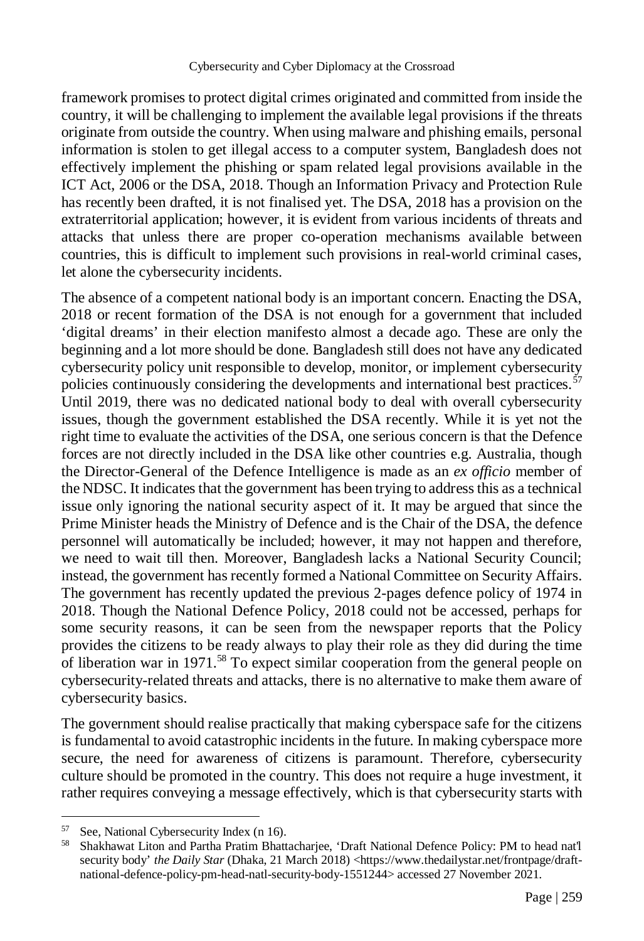framework promises to protect digital crimes originated and committed from inside the country, it will be challenging to implement the available legal provisions if the threats originate from outside the country. When using malware and phishing emails, personal information is stolen to get illegal access to a computer system, Bangladesh does not effectively implement the phishing or spam related legal provisions available in the ICT Act, 2006 or the DSA, 2018. Though an Information Privacy and Protection Rule has recently been drafted, it is not finalised yet. The DSA, 2018 has a provision on the extraterritorial application; however, it is evident from various incidents of threats and attacks that unless there are proper co-operation mechanisms available between countries, this is difficult to implement such provisions in real-world criminal cases, let alone the cybersecurity incidents.

The absence of a competent national body is an important concern. Enacting the DSA, 2018 or recent formation of the DSA is not enough for a government that included 'digital dreams' in their election manifesto almost a decade ago. These are only the beginning and a lot more should be done. Bangladesh still does not have any dedicated cybersecurity policy unit responsible to develop, monitor, or implement cybersecurity policies continuously considering the developments and international best practices.<sup>57</sup> Until 2019, there was no dedicated national body to deal with overall cybersecurity issues, though the government established the DSA recently. While it is yet not the right time to evaluate the activities of the DSA, one serious concern is that the Defence forces are not directly included in the DSA like other countries e.g. Australia, though the Director-General of the Defence Intelligence is made as an *ex officio* member of the NDSC. It indicates that the government has been trying to address this as a technical issue only ignoring the national security aspect of it. It may be argued that since the Prime Minister heads the Ministry of Defence and is the Chair of the DSA, the defence personnel will automatically be included; however, it may not happen and therefore, we need to wait till then. Moreover, Bangladesh lacks a National Security Council; instead, the government has recently formed a National Committee on Security Affairs. The government has recently updated the previous 2-pages defence policy of 1974 in 2018. Though the National Defence Policy, 2018 could not be accessed, perhaps for some security reasons, it can be seen from the newspaper reports that the Policy provides the citizens to be ready always to play their role as they did during the time of liberation war in 1971.<sup>58</sup> To expect similar cooperation from the general people on cybersecurity-related threats and attacks, there is no alternative to make them aware of cybersecurity basics.

The government should realise practically that making cyberspace safe for the citizens is fundamental to avoid catastrophic incidents in the future. In making cyberspace more secure, the need for awareness of citizens is paramount. Therefore, cybersecurity culture should be promoted in the country. This does not require a huge investment, it rather requires conveying a message effectively, which is that cybersecurity starts with

l

<sup>57</sup> See, National Cybersecurity Index (n 16).

<sup>58</sup> Shakhawat Liton and Partha Pratim Bhattacharjee, 'Draft National Defence Policy: PM to head nat'l security body' *the Daily Star* (Dhaka, 21 March 2018) <https://www.thedailystar.net/frontpage/draftnational-defence-policy-pm-head-natl-security-body-1551244> accessed 27 November 2021.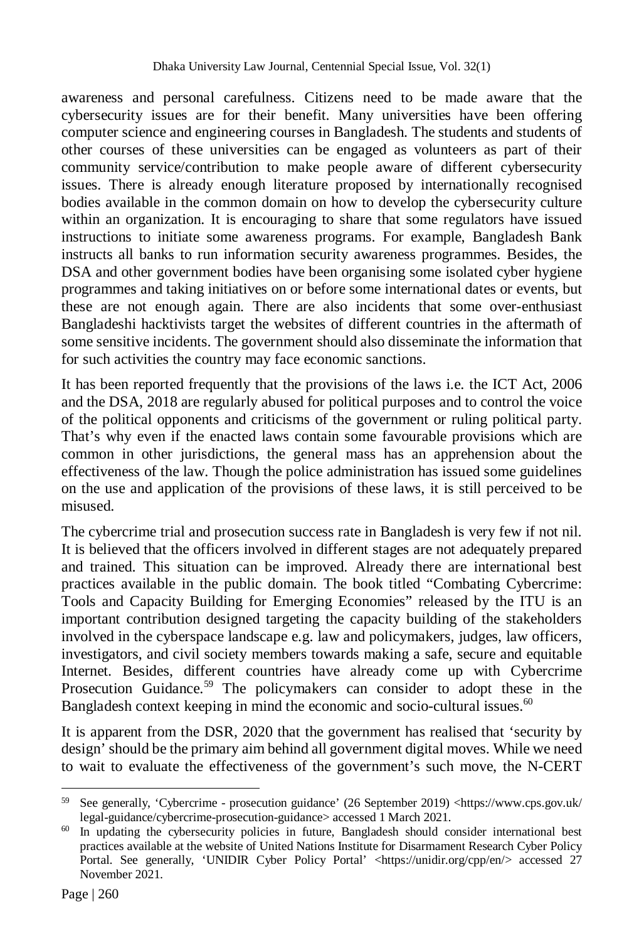awareness and personal carefulness. Citizens need to be made aware that the cybersecurity issues are for their benefit. Many universities have been offering computer science and engineering courses in Bangladesh. The students and students of other courses of these universities can be engaged as volunteers as part of their community service/contribution to make people aware of different cybersecurity issues. There is already enough literature proposed by internationally recognised bodies available in the common domain on how to develop the cybersecurity culture within an organization. It is encouraging to share that some regulators have issued instructions to initiate some awareness programs. For example, Bangladesh Bank instructs all banks to run information security awareness programmes. Besides, the DSA and other government bodies have been organising some isolated cyber hygiene programmes and taking initiatives on or before some international dates or events, but these are not enough again. There are also incidents that some over-enthusiast Bangladeshi hacktivists target the websites of different countries in the aftermath of some sensitive incidents. The government should also disseminate the information that for such activities the country may face economic sanctions.

It has been reported frequently that the provisions of the laws i.e. the ICT Act, 2006 and the DSA, 2018 are regularly abused for political purposes and to control the voice of the political opponents and criticisms of the government or ruling political party. That's why even if the enacted laws contain some favourable provisions which are common in other jurisdictions, the general mass has an apprehension about the effectiveness of the law. Though the police administration has issued some guidelines on the use and application of the provisions of these laws, it is still perceived to be misused.

The cybercrime trial and prosecution success rate in Bangladesh is very few if not nil. It is believed that the officers involved in different stages are not adequately prepared and trained. This situation can be improved. Already there are international best practices available in the public domain. The book titled "Combating Cybercrime: Tools and Capacity Building for Emerging Economies" released by the ITU is an important contribution designed targeting the capacity building of the stakeholders involved in the cyberspace landscape e.g. law and policymakers, judges, law officers, investigators, and civil society members towards making a safe, secure and equitable Internet. Besides, different countries have already come up with Cybercrime Prosecution Guidance.<sup>59</sup> The policymakers can consider to adopt these in the Bangladesh context keeping in mind the economic and socio-cultural issues. $60$ 

It is apparent from the DSR, 2020 that the government has realised that 'security by design' should be the primary aim behind all government digital moves. While we need to wait to evaluate the effectiveness of the government's such move, the N-CERT

 $\overline{a}$ <sup>59</sup> See generally, 'Cybercrime - prosecution guidance' (26 September 2019) <https://www.cps.gov.uk/ legal-guidance/cybercrime-prosecution-guidance> accessed 1 March 2021.

<sup>&</sup>lt;sup>60</sup> In updating the cybersecurity policies in future, Bangladesh should consider international best practices available at the website of United Nations Institute for Disarmament Research Cyber Policy Portal. See generally, 'UNIDIR Cyber Policy Portal' <https://unidir.org/cpp/en/> accessed 27 November 2021.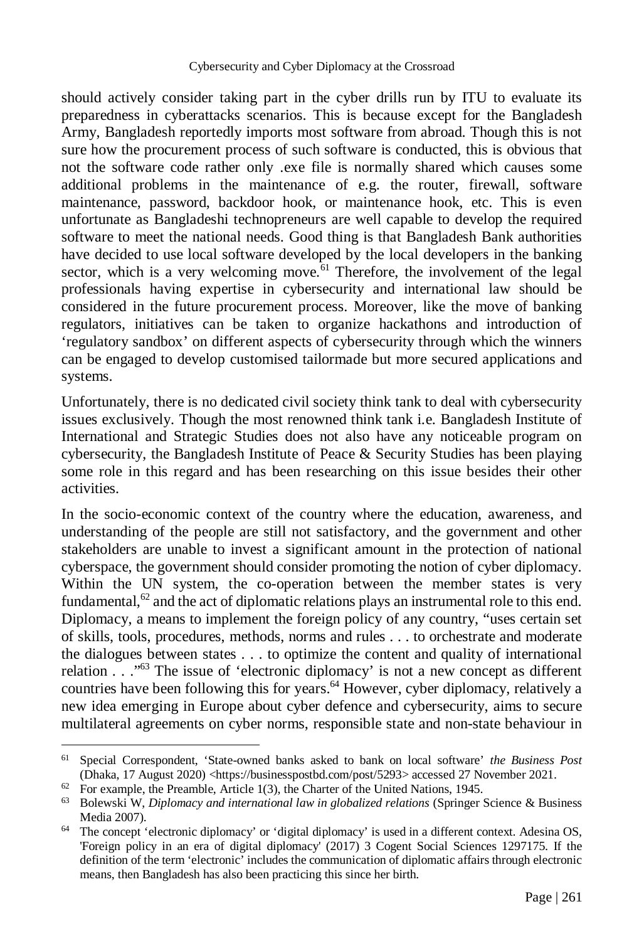should actively consider taking part in the cyber drills run by ITU to evaluate its preparedness in cyberattacks scenarios. This is because except for the Bangladesh Army, Bangladesh reportedly imports most software from abroad. Though this is not sure how the procurement process of such software is conducted, this is obvious that not the software code rather only .exe file is normally shared which causes some additional problems in the maintenance of e.g. the router, firewall, software maintenance, password, backdoor hook, or maintenance hook, etc. This is even unfortunate as Bangladeshi technopreneurs are well capable to develop the required software to meet the national needs. Good thing is that Bangladesh Bank authorities have decided to use local software developed by the local developers in the banking sector, which is a very welcoming move.<sup> $61$ </sup> Therefore, the involvement of the legal professionals having expertise in cybersecurity and international law should be considered in the future procurement process. Moreover, like the move of banking regulators, initiatives can be taken to organize hackathons and introduction of 'regulatory sandbox' on different aspects of cybersecurity through which the winners can be engaged to develop customised tailormade but more secured applications and systems.

Unfortunately, there is no dedicated civil society think tank to deal with cybersecurity issues exclusively. Though the most renowned think tank i.e. Bangladesh Institute of International and Strategic Studies does not also have any noticeable program on cybersecurity, the Bangladesh Institute of Peace & Security Studies has been playing some role in this regard and has been researching on this issue besides their other activities.

In the socio-economic context of the country where the education, awareness, and understanding of the people are still not satisfactory, and the government and other stakeholders are unable to invest a significant amount in the protection of national cyberspace, the government should consider promoting the notion of cyber diplomacy. Within the UN system, the co-operation between the member states is very fundamental,  $62$  and the act of diplomatic relations plays an instrumental role to this end. Diplomacy, a means to implement the foreign policy of any country, "uses certain set of skills, tools, procedures, methods, norms and rules . . . to orchestrate and moderate the dialogues between states . . . to optimize the content and quality of international relation . . ."<sup>63</sup> The issue of 'electronic diplomacy' is not a new concept as different countries have been following this for years.<sup>64</sup> However, cyber diplomacy, relatively a new idea emerging in Europe about cyber defence and cybersecurity, aims to secure multilateral agreements on cyber norms, responsible state and non-state behaviour in

<sup>61</sup> Special Correspondent, 'State-owned banks asked to bank on local software' *the Business Post* (Dhaka, 17 August 2020) <https://businesspostbd.com/post/5293> accessed 27 November 2021.

 $62$  For example, the Preamble, Article 1(3), the Charter of the United Nations, 1945.

<sup>63</sup> Bolewski W, *Diplomacy and international law in globalized relations* (Springer Science & Business Media 2007).

<sup>&</sup>lt;sup>64</sup> The concept 'electronic diplomacy' or 'digital diplomacy' is used in a different context. Adesina OS, 'Foreign policy in an era of digital diplomacy' (2017) 3 Cogent Social Sciences 1297175. If the definition of the term 'electronic' includes the communication of diplomatic affairs through electronic means, then Bangladesh has also been practicing this since her birth.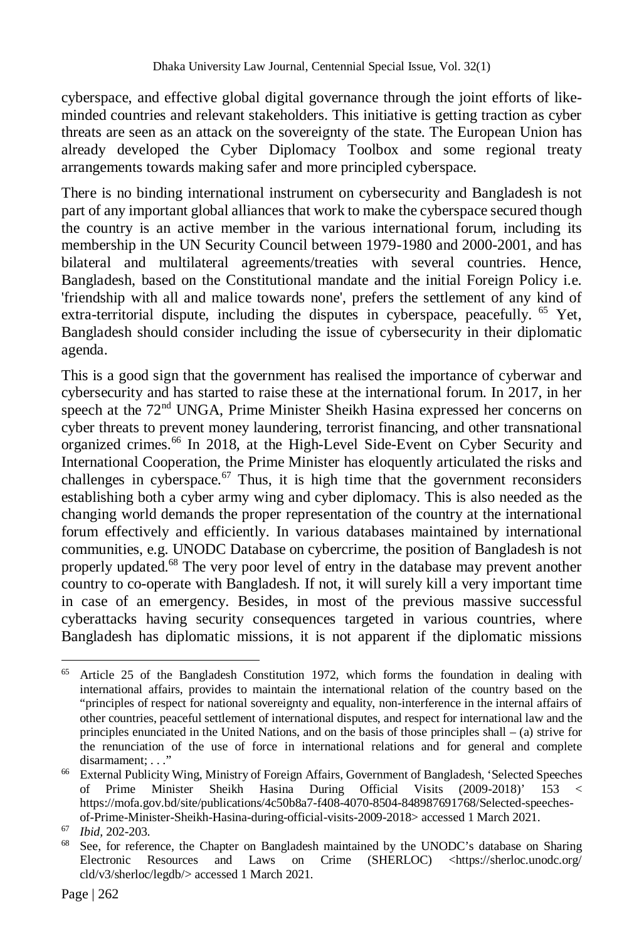cyberspace, and effective global digital governance through the joint efforts of likeminded countries and relevant stakeholders. This initiative is getting traction as cyber threats are seen as an attack on the sovereignty of the state. The European Union has already developed the Cyber Diplomacy Toolbox and some regional treaty arrangements towards making safer and more principled cyberspace.

There is no binding international instrument on cybersecurity and Bangladesh is not part of any important global alliances that work to make the cyberspace secured though the country is an active member in the various international forum, including its membership in the UN Security Council between 1979-1980 and 2000-2001, and has bilateral and multilateral agreements/treaties with several countries. Hence, Bangladesh, based on the Constitutional mandate and the initial Foreign Policy i.e. 'friendship with all and malice towards none', prefers the settlement of any kind of extra-territorial dispute, including the disputes in cyberspace, peacefully.  $^{65}$  Yet, Bangladesh should consider including the issue of cybersecurity in their diplomatic agenda.

This is a good sign that the government has realised the importance of cyberwar and cybersecurity and has started to raise these at the international forum. In 2017, in her speech at the 72<sup>nd</sup> UNGA, Prime Minister Sheikh Hasina expressed her concerns on cyber threats to prevent money laundering, terrorist financing, and other transnational organized crimes.<sup>66</sup> In 2018, at the High-Level Side-Event on Cyber Security and International Cooperation, the Prime Minister has eloquently articulated the risks and challenges in cyberspace.<sup>67</sup> Thus, it is high time that the government reconsiders establishing both a cyber army wing and cyber diplomacy. This is also needed as the changing world demands the proper representation of the country at the international forum effectively and efficiently. In various databases maintained by international communities, e.g. UNODC Database on cybercrime, the position of Bangladesh is not properly updated.<sup>68</sup> The very poor level of entry in the database may prevent another country to co-operate with Bangladesh. If not, it will surely kill a very important time in case of an emergency. Besides, in most of the previous massive successful cyberattacks having security consequences targeted in various countries, where Bangladesh has diplomatic missions, it is not apparent if the diplomatic missions

 $\overline{a}$ <sup>65</sup> Article 25 of the Bangladesh Constitution 1972, which forms the foundation in dealing with international affairs, provides to maintain the international relation of the country based on the "principles of respect for national sovereignty and equality, non-interference in the internal affairs of other countries, peaceful settlement of international disputes, and respect for international law and the principles enunciated in the United Nations, and on the basis of those principles shall – (a) strive for the renunciation of the use of force in international relations and for general and complete disarmament: . . ."

<sup>66</sup> External Publicity Wing, Ministry of Foreign Affairs, Government of Bangladesh, 'Selected Speeches of Prime Minister Sheikh Hasina During Official Visits (2009-2018)' 153 < https://mofa.gov.bd/site/publications/4c50b8a7-f408-4070-8504-848987691768/Selected-speechesof-Prime-Minister-Sheikh-Hasina-during-official-visits-2009-2018> accessed 1 March 2021.

<sup>67</sup> *Ibid,* 202-203.

<sup>&</sup>lt;sup>68</sup> See, for reference, the Chapter on Bangladesh maintained by the UNODC's database on Sharing Electronic Resources and Laws on Crime (SHERLOC) <https://sherloc.unodc.org/ cld/v3/sherloc/legdb/> accessed 1 March 2021.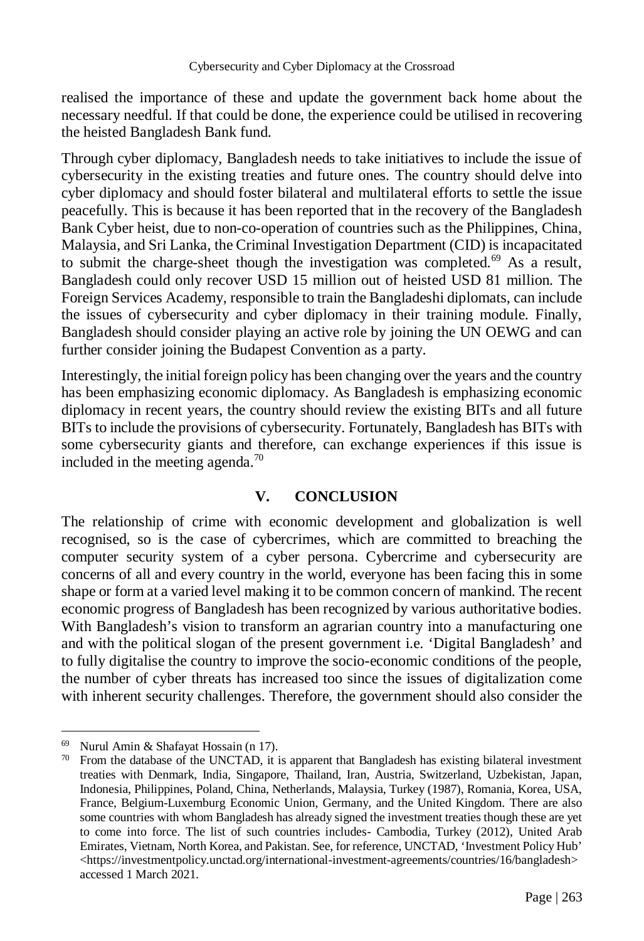realised the importance of these and update the government back home about the necessary needful. If that could be done, the experience could be utilised in recovering the heisted Bangladesh Bank fund.

Through cyber diplomacy, Bangladesh needs to take initiatives to include the issue of cybersecurity in the existing treaties and future ones. The country should delve into cyber diplomacy and should foster bilateral and multilateral efforts to settle the issue peacefully. This is because it has been reported that in the recovery of the Bangladesh Bank Cyber heist, due to non-co-operation of countries such as the Philippines, China, Malaysia, and Sri Lanka, the Criminal Investigation Department (CID) is incapacitated to submit the charge-sheet though the investigation was completed.<sup>69</sup> As a result, Bangladesh could only recover USD 15 million out of heisted USD 81 million. The Foreign Services Academy, responsible to train the Bangladeshi diplomats, can include the issues of cybersecurity and cyber diplomacy in their training module. Finally, Bangladesh should consider playing an active role by joining the UN OEWG and can further consider joining the Budapest Convention as a party.

Interestingly, the initial foreign policy has been changing over the years and the country has been emphasizing economic diplomacy. As Bangladesh is emphasizing economic diplomacy in recent years, the country should review the existing BITs and all future BITs to include the provisions of cybersecurity. Fortunately, Bangladesh has BITs with some cybersecurity giants and therefore, can exchange experiences if this issue is included in the meeting agenda.<sup>70</sup>

## **V. CONCLUSION**

The relationship of crime with economic development and globalization is well recognised, so is the case of cybercrimes, which are committed to breaching the computer security system of a cyber persona. Cybercrime and cybersecurity are concerns of all and every country in the world, everyone has been facing this in some shape or form at a varied level making it to be common concern of mankind. The recent economic progress of Bangladesh has been recognized by various authoritative bodies. With Bangladesh's vision to transform an agrarian country into a manufacturing one and with the political slogan of the present government i.e. 'Digital Bangladesh' and to fully digitalise the country to improve the socio-economic conditions of the people, the number of cyber threats has increased too since the issues of digitalization come with inherent security challenges. Therefore, the government should also consider the

 $\overline{a}$ <sup>69</sup> Nurul Amin & Shafayat Hossain (n 17).

 $70$  From the database of the UNCTAD, it is apparent that Bangladesh has existing bilateral investment treaties with Denmark, India, Singapore, Thailand, Iran, Austria, Switzerland, Uzbekistan, Japan, Indonesia, Philippines, Poland, China, Netherlands, Malaysia, Turkey (1987), Romania, Korea, USA, France, Belgium-Luxemburg Economic Union, Germany, and the United Kingdom. There are also some countries with whom Bangladesh has already signed the investment treaties though these are yet to come into force. The list of such countries includes- Cambodia, Turkey (2012), United Arab Emirates, Vietnam, North Korea, and Pakistan. See, for reference, UNCTAD, 'Investment Policy Hub' <https://investmentpolicy.unctad.org/international-investment-agreements/countries/16/bangladesh> accessed 1 March 2021.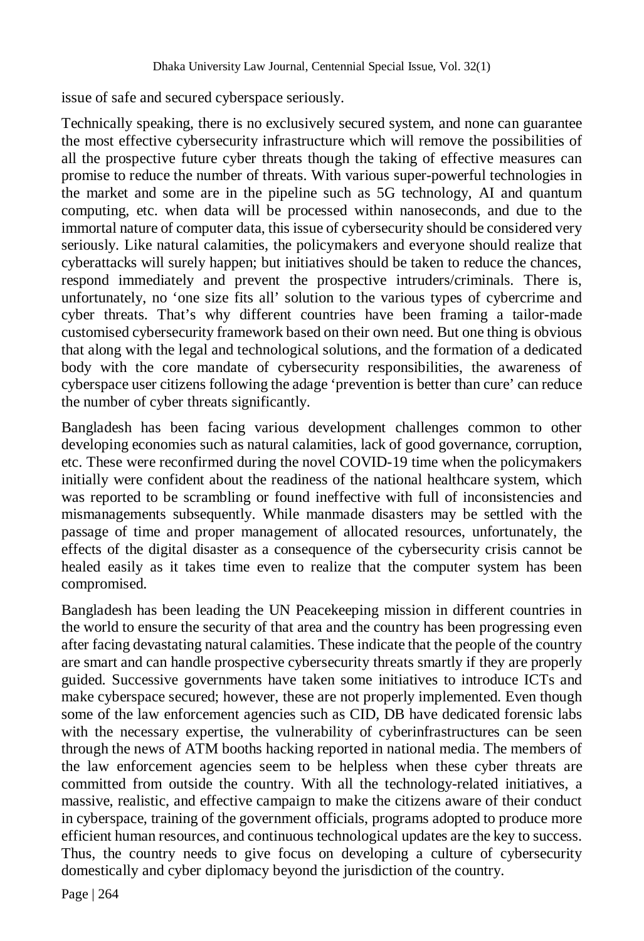issue of safe and secured cyberspace seriously.

Technically speaking, there is no exclusively secured system, and none can guarantee the most effective cybersecurity infrastructure which will remove the possibilities of all the prospective future cyber threats though the taking of effective measures can promise to reduce the number of threats. With various super-powerful technologies in the market and some are in the pipeline such as 5G technology, AI and quantum computing, etc. when data will be processed within nanoseconds, and due to the immortal nature of computer data, this issue of cybersecurity should be considered very seriously. Like natural calamities, the policymakers and everyone should realize that cyberattacks will surely happen; but initiatives should be taken to reduce the chances, respond immediately and prevent the prospective intruders/criminals. There is, unfortunately, no 'one size fits all' solution to the various types of cybercrime and cyber threats. That's why different countries have been framing a tailor-made customised cybersecurity framework based on their own need. But one thing is obvious that along with the legal and technological solutions, and the formation of a dedicated body with the core mandate of cybersecurity responsibilities, the awareness of cyberspace user citizens following the adage 'prevention is better than cure' can reduce the number of cyber threats significantly.

Bangladesh has been facing various development challenges common to other developing economies such as natural calamities, lack of good governance, corruption, etc. These were reconfirmed during the novel COVID-19 time when the policymakers initially were confident about the readiness of the national healthcare system, which was reported to be scrambling or found ineffective with full of inconsistencies and mismanagements subsequently. While manmade disasters may be settled with the passage of time and proper management of allocated resources, unfortunately, the effects of the digital disaster as a consequence of the cybersecurity crisis cannot be healed easily as it takes time even to realize that the computer system has been compromised.

Bangladesh has been leading the UN Peacekeeping mission in different countries in the world to ensure the security of that area and the country has been progressing even after facing devastating natural calamities. These indicate that the people of the country are smart and can handle prospective cybersecurity threats smartly if they are properly guided. Successive governments have taken some initiatives to introduce ICTs and make cyberspace secured; however, these are not properly implemented. Even though some of the law enforcement agencies such as CID, DB have dedicated forensic labs with the necessary expertise, the vulnerability of cyberinfrastructures can be seen through the news of ATM booths hacking reported in national media. The members of the law enforcement agencies seem to be helpless when these cyber threats are committed from outside the country. With all the technology-related initiatives, a massive, realistic, and effective campaign to make the citizens aware of their conduct in cyberspace, training of the government officials, programs adopted to produce more efficient human resources, and continuous technological updates are the key to success. Thus, the country needs to give focus on developing a culture of cybersecurity domestically and cyber diplomacy beyond the jurisdiction of the country.